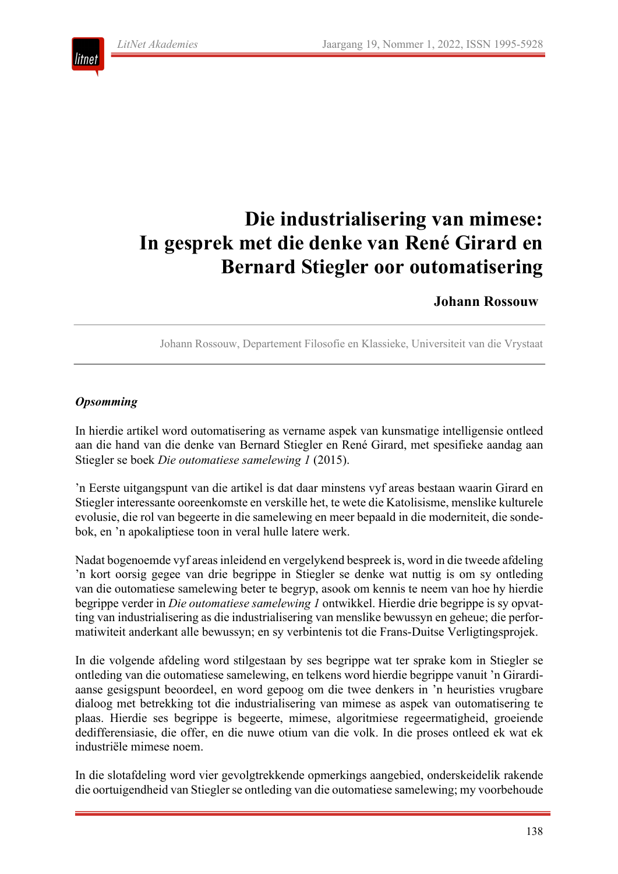

# **Die industrialisering van mimese: In gesprek met die denke van René Girard en Bernard Stiegler oor outomatisering**

#### **Johann Rossouw**

Johann Rossouw, Departement Filosofie en Klassieke, Universiteit van die Vrystaat

#### *Opsomming*

In hierdie artikel word outomatisering as vername aspek van kunsmatige intelligensie ontleed aan die hand van die denke van Bernard Stiegler en René Girard, met spesifieke aandag aan Stiegler se boek *Die outomatiese samelewing 1* (2015).

'n Eerste uitgangspunt van die artikel is dat daar minstens vyf areas bestaan waarin Girard en Stiegler interessante ooreenkomste en verskille het, te wete die Katolisisme, menslike kulturele evolusie, die rol van begeerte in die samelewing en meer bepaald in die moderniteit, die sondebok, en 'n apokaliptiese toon in veral hulle latere werk.

Nadat bogenoemde vyf areas inleidend en vergelykend bespreek is, word in die tweede afdeling 'n kort oorsig gegee van drie begrippe in Stiegler se denke wat nuttig is om sy ontleding van die outomatiese samelewing beter te begryp, asook om kennis te neem van hoe hy hierdie begrippe verder in *Die outomatiese samelewing 1* ontwikkel. Hierdie drie begrippe is sy opvatting van industrialisering as die industrialisering van menslike bewussyn en geheue; die performatiwiteit anderkant alle bewussyn; en sy verbintenis tot die Frans-Duitse Verligtingsprojek.

In die volgende afdeling word stilgestaan by ses begrippe wat ter sprake kom in Stiegler se ontleding van die outomatiese samelewing, en telkens word hierdie begrippe vanuit 'n Girardiaanse gesigspunt beoordeel, en word gepoog om die twee denkers in 'n heuristies vrugbare dialoog met betrekking tot die industrialisering van mimese as aspek van outomatisering te plaas. Hierdie ses begrippe is begeerte, mimese, algoritmiese regeermatigheid, groeiende dedifferensiasie, die offer, en die nuwe otium van die volk. In die proses ontleed ek wat ek industriële mimese noem.

In die slotafdeling word vier gevolgtrekkende opmerkings aangebied, onderskeidelik rakende die oortuigendheid van Stiegler se ontleding van die outomatiese samelewing; my voorbehoude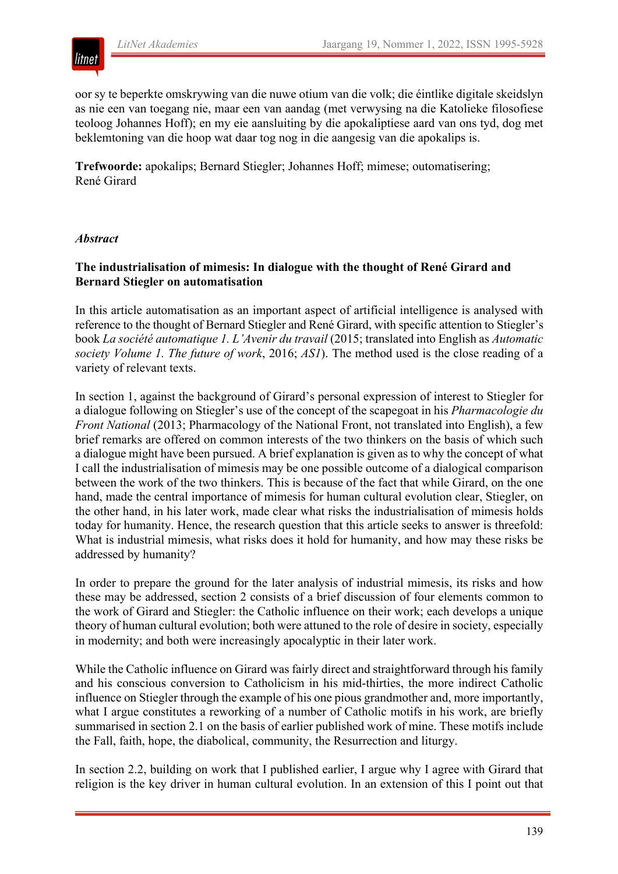oor sy te beperkte omskrywing van die nuwe otium van die volk; die éintlike digitale skeidslyn as nie een van toegang nie, maar een van aandag (met verwysing na die Katolieke filosofiese teoloog Johannes Hoff); en my eie aansluiting by die apokaliptiese aard van ons tyd, dog met beklemtoning van die hoop wat daar tog nog in die aangesig van die apokalips is.

**Trefwoorde:** apokalips; Bernard Stiegler; Johannes Hoff; mimese; outomatisering; René Girard

#### *Abstract*

litnet

#### **The industrialisation of mimesis: In dialogue with the thought of René Girard and Bernard Stiegler on automatisation**

In this article automatisation as an important aspect of artificial intelligence is analysed with reference to the thought of Bernard Stiegler and René Girard, with specific attention to Stiegler's book *La société automatique 1. L'Avenir du travail* (2015; translated into English as *Automatic society Volume 1. The future of work*, 2016; *AS1*). The method used is the close reading of a variety of relevant texts.

In section 1, against the background of Girard's personal expression of interest to Stiegler for a dialogue following on Stiegler's use of the concept of the scapegoat in his *Pharmacologie du Front National* (2013; Pharmacology of the National Front, not translated into English), a few brief remarks are offered on common interests of the two thinkers on the basis of which such a dialogue might have been pursued. A brief explanation is given as to why the concept of what I call the industrialisation of mimesis may be one possible outcome of a dialogical comparison between the work of the two thinkers. This is because of the fact that while Girard, on the one hand, made the central importance of mimesis for human cultural evolution clear, Stiegler, on the other hand, in his later work, made clear what risks the industrialisation of mimesis holds today for humanity. Hence, the research question that this article seeks to answer is threefold: What is industrial mimesis, what risks does it hold for humanity, and how may these risks be addressed by humanity?

In order to prepare the ground for the later analysis of industrial mimesis, its risks and how these may be addressed, section 2 consists of a brief discussion of four elements common to the work of Girard and Stiegler: the Catholic influence on their work; each develops a unique theory of human cultural evolution; both were attuned to the role of desire in society, especially in modernity; and both were increasingly apocalyptic in their later work.

While the Catholic influence on Girard was fairly direct and straightforward through his family and his conscious conversion to Catholicism in his mid-thirties, the more indirect Catholic influence on Stiegler through the example of his one pious grandmother and, more importantly, what I argue constitutes a reworking of a number of Catholic motifs in his work, are briefly summarised in section 2.1 on the basis of earlier published work of mine. These motifs include the Fall, faith, hope, the diabolical, community, the Resurrection and liturgy.

In section 2.2, building on work that I published earlier, I argue why I agree with Girard that religion is the key driver in human cultural evolution. In an extension of this I point out that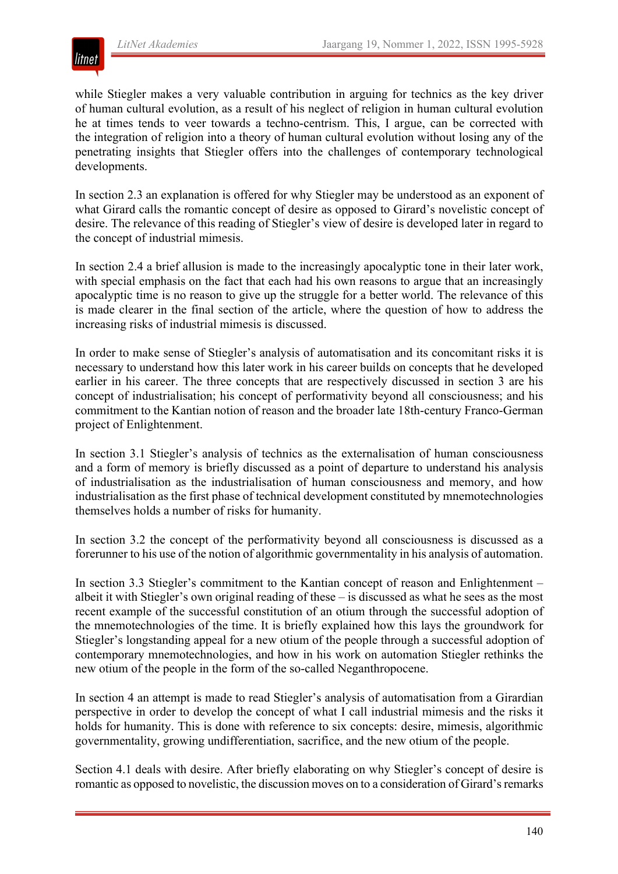

while Stiegler makes a very valuable contribution in arguing for technics as the key driver of human cultural evolution, as a result of his neglect of religion in human cultural evolution he at times tends to veer towards a techno-centrism. This, I argue, can be corrected with the integration of religion into a theory of human cultural evolution without losing any of the penetrating insights that Stiegler offers into the challenges of contemporary technological developments.

In section 2.3 an explanation is offered for why Stiegler may be understood as an exponent of what Girard calls the romantic concept of desire as opposed to Girard's novelistic concept of desire. The relevance of this reading of Stiegler's view of desire is developed later in regard to the concept of industrial mimesis.

In section 2.4 a brief allusion is made to the increasingly apocalyptic tone in their later work, with special emphasis on the fact that each had his own reasons to argue that an increasingly apocalyptic time is no reason to give up the struggle for a better world. The relevance of this is made clearer in the final section of the article, where the question of how to address the increasing risks of industrial mimesis is discussed.

In order to make sense of Stiegler's analysis of automatisation and its concomitant risks it is necessary to understand how this later work in his career builds on concepts that he developed earlier in his career. The three concepts that are respectively discussed in section 3 are his concept of industrialisation; his concept of performativity beyond all consciousness; and his commitment to the Kantian notion of reason and the broader late 18th-century Franco-German project of Enlightenment.

In section 3.1 Stiegler's analysis of technics as the externalisation of human consciousness and a form of memory is briefly discussed as a point of departure to understand his analysis of industrialisation as the industrialisation of human consciousness and memory, and how industrialisation as the first phase of technical development constituted by mnemotechnologies themselves holds a number of risks for humanity.

In section 3.2 the concept of the performativity beyond all consciousness is discussed as a forerunner to his use of the notion of algorithmic governmentality in his analysis of automation.

In section 3.3 Stiegler's commitment to the Kantian concept of reason and Enlightenment – albeit it with Stiegler's own original reading of these – is discussed as what he sees as the most recent example of the successful constitution of an otium through the successful adoption of the mnemotechnologies of the time. It is briefly explained how this lays the groundwork for Stiegler's longstanding appeal for a new otium of the people through a successful adoption of contemporary mnemotechnologies, and how in his work on automation Stiegler rethinks the new otium of the people in the form of the so-called Neganthropocene.

In section 4 an attempt is made to read Stiegler's analysis of automatisation from a Girardian perspective in order to develop the concept of what I call industrial mimesis and the risks it holds for humanity. This is done with reference to six concepts: desire, mimesis, algorithmic governmentality, growing undifferentiation, sacrifice, and the new otium of the people.

Section 4.1 deals with desire. After briefly elaborating on why Stiegler's concept of desire is romantic as opposed to novelistic, the discussion moves on to a consideration of Girard's remarks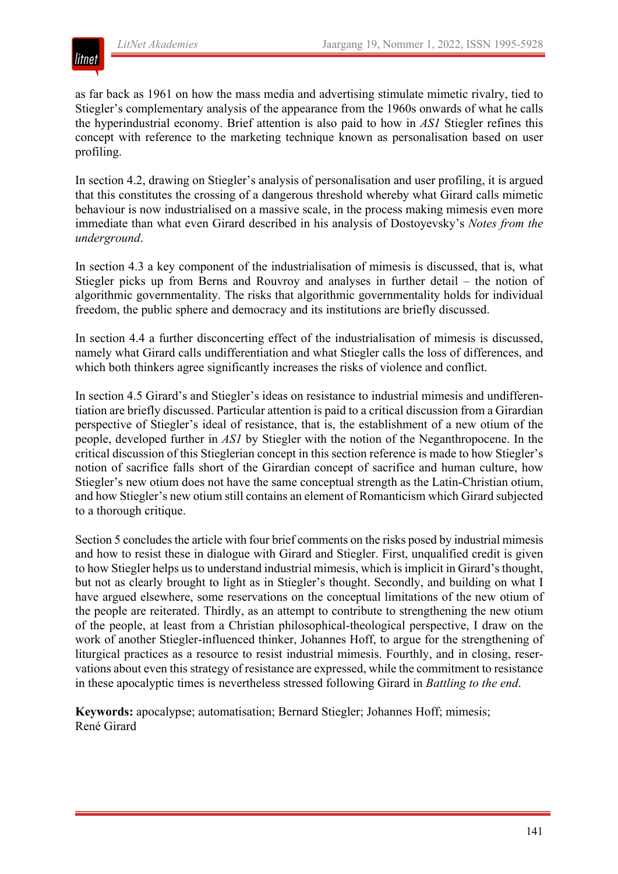

as far back as 1961 on how the mass media and advertising stimulate mimetic rivalry, tied to Stiegler's complementary analysis of the appearance from the 1960s onwards of what he calls the hyperindustrial economy. Brief attention is also paid to how in *AS1* Stiegler refines this concept with reference to the marketing technique known as personalisation based on user profiling.

In section 4.2, drawing on Stiegler's analysis of personalisation and user profiling, it is argued that this constitutes the crossing of a dangerous threshold whereby what Girard calls mimetic behaviour is now industrialised on a massive scale, in the process making mimesis even more immediate than what even Girard described in his analysis of Dostoyevsky's *Notes from the underground*.

In section 4.3 a key component of the industrialisation of mimesis is discussed, that is, what Stiegler picks up from Berns and Rouvroy and analyses in further detail – the notion of algorithmic governmentality. The risks that algorithmic governmentality holds for individual freedom, the public sphere and democracy and its institutions are briefly discussed.

In section 4.4 a further disconcerting effect of the industrialisation of mimesis is discussed, namely what Girard calls undifferentiation and what Stiegler calls the loss of differences, and which both thinkers agree significantly increases the risks of violence and conflict.

In section 4.5 Girard's and Stiegler's ideas on resistance to industrial mimesis and undifferentiation are briefly discussed. Particular attention is paid to a critical discussion from a Girardian perspective of Stiegler's ideal of resistance, that is, the establishment of a new otium of the people, developed further in *AS1* by Stiegler with the notion of the Neganthropocene. In the critical discussion of this Stieglerian concept in this section reference is made to how Stiegler's notion of sacrifice falls short of the Girardian concept of sacrifice and human culture, how Stiegler's new otium does not have the same conceptual strength as the Latin-Christian otium, and how Stiegler's new otium still contains an element of Romanticism which Girard subjected to a thorough critique.

Section 5 concludes the article with four brief comments on the risks posed by industrial mimesis and how to resist these in dialogue with Girard and Stiegler. First, unqualified credit is given to how Stiegler helps us to understand industrial mimesis, which is implicit in Girard's thought, but not as clearly brought to light as in Stiegler's thought. Secondly, and building on what I have argued elsewhere, some reservations on the conceptual limitations of the new otium of the people are reiterated. Thirdly, as an attempt to contribute to strengthening the new otium of the people, at least from a Christian philosophical-theological perspective, I draw on the work of another Stiegler-influenced thinker, Johannes Hoff, to argue for the strengthening of liturgical practices as a resource to resist industrial mimesis. Fourthly, and in closing, reservations about even this strategy of resistance are expressed, while the commitment to resistance in these apocalyptic times is nevertheless stressed following Girard in *Battling to the end*.

**Keywords:** apocalypse; automatisation; Bernard Stiegler; Johannes Hoff; mimesis; René Girard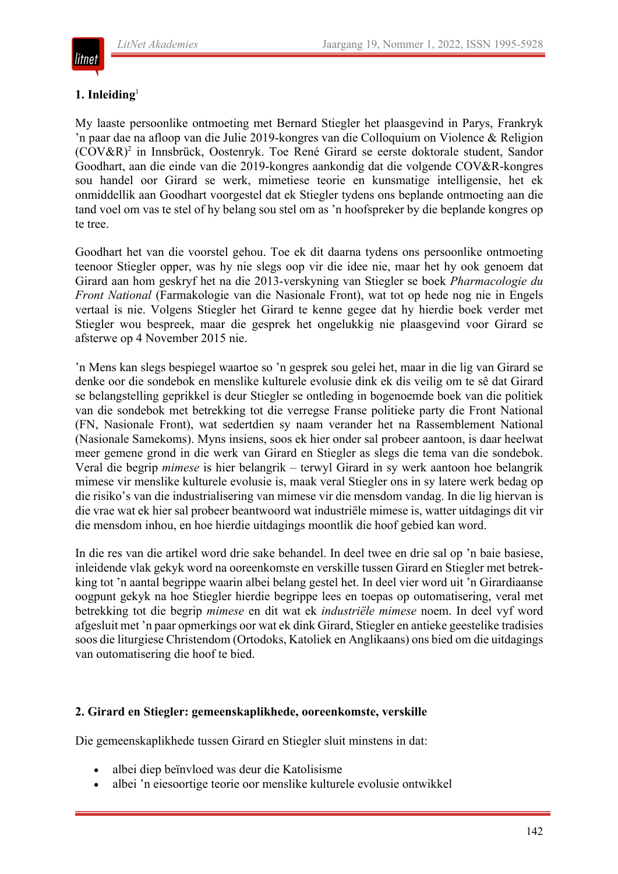

litnet

#### **1. Inleiding**<sup>1</sup>

My laaste persoonlike ontmoeting met Bernard Stiegler het plaasgevind in Parys, Frankryk 'n paar dae na afloop van die Julie 2019-kongres van die Colloquium on Violence & Religion (COV&R)2 in Innsbrück, Oostenryk. Toe René Girard se eerste doktorale student, Sandor Goodhart, aan die einde van die 2019-kongres aankondig dat die volgende COV&R-kongres sou handel oor Girard se werk, mimetiese teorie en kunsmatige intelligensie, het ek onmiddellik aan Goodhart voorgestel dat ek Stiegler tydens ons beplande ontmoeting aan die tand voel om vas te stel of hy belang sou stel om as 'n hoofspreker by die beplande kongres op te tree.

Goodhart het van die voorstel gehou. Toe ek dit daarna tydens ons persoonlike ontmoeting teenoor Stiegler opper, was hy nie slegs oop vir die idee nie, maar het hy ook genoem dat Girard aan hom geskryf het na die 2013-verskyning van Stiegler se boek *Pharmacologie du Front National* (Farmakologie van die Nasionale Front), wat tot op hede nog nie in Engels vertaal is nie. Volgens Stiegler het Girard te kenne gegee dat hy hierdie boek verder met Stiegler wou bespreek, maar die gesprek het ongelukkig nie plaasgevind voor Girard se afsterwe op 4 November 2015 nie.

'n Mens kan slegs bespiegel waartoe so 'n gesprek sou gelei het, maar in die lig van Girard se denke oor die sondebok en menslike kulturele evolusie dink ek dis veilig om te sê dat Girard se belangstelling geprikkel is deur Stiegler se ontleding in bogenoemde boek van die politiek van die sondebok met betrekking tot die verregse Franse politieke party die Front National (FN, Nasionale Front), wat sedertdien sy naam verander het na Rassemblement National (Nasionale Samekoms). Myns insiens, soos ek hier onder sal probeer aantoon, is daar heelwat meer gemene grond in die werk van Girard en Stiegler as slegs die tema van die sondebok. Veral die begrip *mimese* is hier belangrik – terwyl Girard in sy werk aantoon hoe belangrik mimese vir menslike kulturele evolusie is, maak veral Stiegler ons in sy latere werk bedag op die risiko's van die industrialisering van mimese vir die mensdom vandag. In die lig hiervan is die vrae wat ek hier sal probeer beantwoord wat industriële mimese is, watter uitdagings dit vir die mensdom inhou, en hoe hierdie uitdagings moontlik die hoof gebied kan word.

In die res van die artikel word drie sake behandel. In deel twee en drie sal op 'n baie basiese, inleidende vlak gekyk word na ooreenkomste en verskille tussen Girard en Stiegler met betrekking tot 'n aantal begrippe waarin albei belang gestel het. In deel vier word uit 'n Girardiaanse oogpunt gekyk na hoe Stiegler hierdie begrippe lees en toepas op outomatisering, veral met betrekking tot die begrip *mimese* en dit wat ek *industriële mimese* noem. In deel vyf word afgesluit met 'n paar opmerkings oor wat ek dink Girard, Stiegler en antieke geestelike tradisies soos die liturgiese Christendom (Ortodoks, Katoliek en Anglikaans) ons bied om die uitdagings van outomatisering die hoof te bied.

#### **2. Girard en Stiegler: gemeenskaplikhede, ooreenkomste, verskille**

Die gemeenskaplikhede tussen Girard en Stiegler sluit minstens in dat:

- albei diep beïnvloed was deur die Katolisisme
- albei 'n eiesoortige teorie oor menslike kulturele evolusie ontwikkel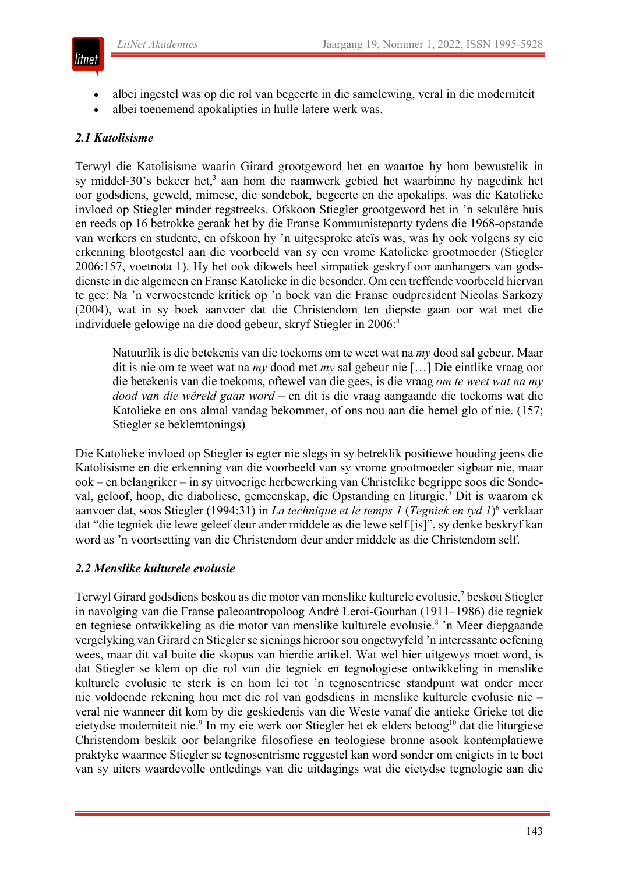

- albei ingestel was op die rol van begeerte in die samelewing, veral in die moderniteit
- albei toenemend apokalipties in hulle latere werk was.

#### *2.1 Katolisisme*

Terwyl die Katolisisme waarin Girard grootgeword het en waartoe hy hom bewustelik in sy middel-30's bekeer het,<sup>3</sup> aan hom die raamwerk gebied het waarbinne hy nagedink het oor godsdiens, geweld, mimese, die sondebok, begeerte en die apokalips, was die Katolieke invloed op Stiegler minder regstreeks. Ofskoon Stiegler grootgeword het in 'n sekulêre huis en reeds op 16 betrokke geraak het by die Franse Kommunisteparty tydens die 1968-opstande van werkers en studente, en ofskoon hy 'n uitgesproke ateïs was, was hy ook volgens sy eie erkenning blootgestel aan die voorbeeld van sy een vrome Katolieke grootmoeder (Stiegler 2006:157, voetnota 1). Hy het ook dikwels heel simpatiek geskryf oor aanhangers van godsdienste in die algemeen en Franse Katolieke in die besonder. Om een treffende voorbeeld hiervan te gee: Na 'n verwoestende kritiek op 'n boek van die Franse oudpresident Nicolas Sarkozy (2004), wat in sy boek aanvoer dat die Christendom ten diepste gaan oor wat met die individuele gelowige na die dood gebeur, skryf Stiegler in 2006:4

Natuurlik is die betekenis van die toekoms om te weet wat na *my* dood sal gebeur. Maar dit is nie om te weet wat na *my* dood met *my* sal gebeur nie […] Die eintlike vraag oor die betekenis van die toekoms, oftewel van die gees, is die vraag *om te weet wat na my dood van die wêreld gaan word* – en dit is die vraag aangaande die toekoms wat die Katolieke en ons almal vandag bekommer, of ons nou aan die hemel glo of nie. (157; Stiegler se beklemtonings)

Die Katolieke invloed op Stiegler is egter nie slegs in sy betreklik positiewe houding jeens die Katolisisme en die erkenning van die voorbeeld van sy vrome grootmoeder sigbaar nie, maar ook – en belangriker – in sy uitvoerige herbewerking van Christelike begrippe soos die Sondeval, geloof, hoop, die diaboliese, gemeenskap, die Opstanding en liturgie.<sup>5</sup> Dit is waarom ek aanvoer dat, soos Stiegler (1994:31) in *La technique et le temps 1* (*Tegniek en tyd 1*) <sup>6</sup> verklaar dat "die tegniek die lewe geleef deur ander middele as die lewe self [is]", sy denke beskryf kan word as 'n voortsetting van die Christendom deur ander middele as die Christendom self.

#### *2.2 Menslike kulturele evolusie*

Terwyl Girard godsdiens beskou as die motor van menslike kulturele evolusie,<sup>7</sup> beskou Stiegler in navolging van die Franse paleoantropoloog André Leroi-Gourhan (1911–1986) die tegniek en tegniese ontwikkeling as die motor van menslike kulturele evolusie.8 'n Meer diepgaande vergelyking van Girard en Stiegler se sienings hieroor sou ongetwyfeld 'n interessante oefening wees, maar dit val buite die skopus van hierdie artikel. Wat wel hier uitgewys moet word, is dat Stiegler se klem op die rol van die tegniek en tegnologiese ontwikkeling in menslike kulturele evolusie te sterk is en hom lei tot 'n tegnosentriese standpunt wat onder meer nie voldoende rekening hou met die rol van godsdiens in menslike kulturele evolusie nie – veral nie wanneer dit kom by die geskiedenis van die Weste vanaf die antieke Grieke tot die eietydse moderniteit nie.<sup>9</sup> In my eie werk oor Stiegler het ek elders betoog<sup>10</sup> dat die liturgiese Christendom beskik oor belangrike filosofiese en teologiese bronne asook kontemplatiewe praktyke waarmee Stiegler se tegnosentrisme reggestel kan word sonder om enigiets in te boet van sy uiters waardevolle ontledings van die uitdagings wat die eietydse tegnologie aan die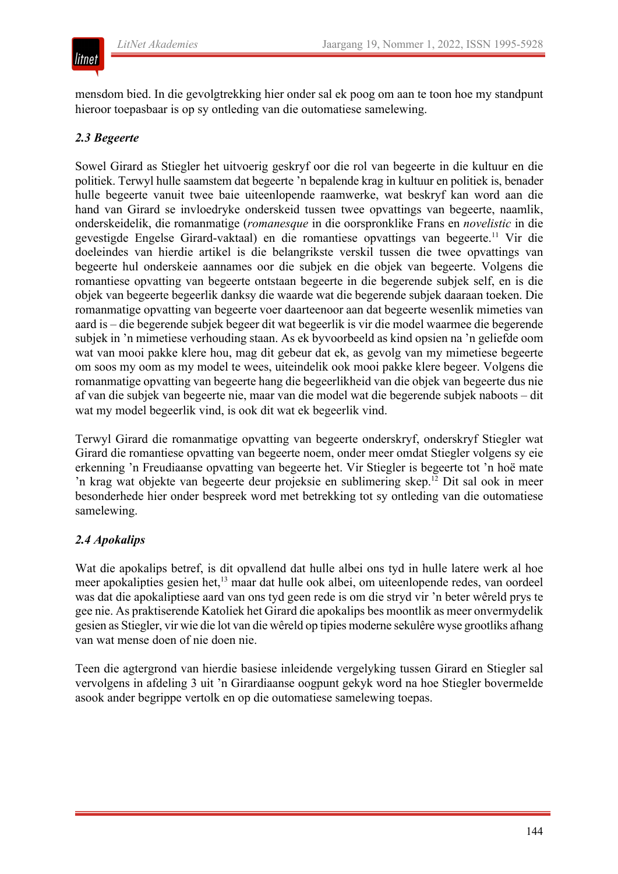### litnet

mensdom bied. In die gevolgtrekking hier onder sal ek poog om aan te toon hoe my standpunt hieroor toepasbaar is op sy ontleding van die outomatiese samelewing.

#### *2.3 Begeerte*

Sowel Girard as Stiegler het uitvoerig geskryf oor die rol van begeerte in die kultuur en die politiek. Terwyl hulle saamstem dat begeerte 'n bepalende krag in kultuur en politiek is, benader hulle begeerte vanuit twee baie uiteenlopende raamwerke, wat beskryf kan word aan die hand van Girard se invloedryke onderskeid tussen twee opvattings van begeerte, naamlik, onderskeidelik, die romanmatige (*romanesque* in die oorspronklike Frans en *novelistic* in die gevestigde Engelse Girard-vaktaal) en die romantiese opvattings van begeerte.<sup>11</sup> Vir die doeleindes van hierdie artikel is die belangrikste verskil tussen die twee opvattings van begeerte hul onderskeie aannames oor die subjek en die objek van begeerte. Volgens die romantiese opvatting van begeerte ontstaan begeerte in die begerende subjek self, en is die objek van begeerte begeerlik danksy die waarde wat die begerende subjek daaraan toeken. Die romanmatige opvatting van begeerte voer daarteenoor aan dat begeerte wesenlik mimeties van aard is – die begerende subjek begeer dit wat begeerlik is vir die model waarmee die begerende subjek in 'n mimetiese verhouding staan. As ek byvoorbeeld as kind opsien na 'n geliefde oom wat van mooi pakke klere hou, mag dit gebeur dat ek, as gevolg van my mimetiese begeerte om soos my oom as my model te wees, uiteindelik ook mooi pakke klere begeer. Volgens die romanmatige opvatting van begeerte hang die begeerlikheid van die objek van begeerte dus nie af van die subjek van begeerte nie, maar van die model wat die begerende subjek naboots – dit wat my model begeerlik vind, is ook dit wat ek begeerlik vind.

Terwyl Girard die romanmatige opvatting van begeerte onderskryf, onderskryf Stiegler wat Girard die romantiese opvatting van begeerte noem, onder meer omdat Stiegler volgens sy eie erkenning 'n Freudiaanse opvatting van begeerte het. Vir Stiegler is begeerte tot 'n hoë mate 'n krag wat objekte van begeerte deur projeksie en sublimering skep.<sup>12</sup> Dit sal ook in meer besonderhede hier onder bespreek word met betrekking tot sy ontleding van die outomatiese samelewing.

#### *2.4 Apokalips*

Wat die apokalips betref, is dit opvallend dat hulle albei ons tyd in hulle latere werk al hoe meer apokalipties gesien het,<sup>13</sup> maar dat hulle ook albei, om uiteenlopende redes, van oordeel was dat die apokaliptiese aard van ons tyd geen rede is om die stryd vir 'n beter wêreld prys te gee nie. As praktiserende Katoliek het Girard die apokalips bes moontlik as meer onvermydelik gesien as Stiegler, vir wie die lot van die wêreld op tipies moderne sekulêre wyse grootliks afhang van wat mense doen of nie doen nie.

Teen die agtergrond van hierdie basiese inleidende vergelyking tussen Girard en Stiegler sal vervolgens in afdeling 3 uit 'n Girardiaanse oogpunt gekyk word na hoe Stiegler bovermelde asook ander begrippe vertolk en op die outomatiese samelewing toepas.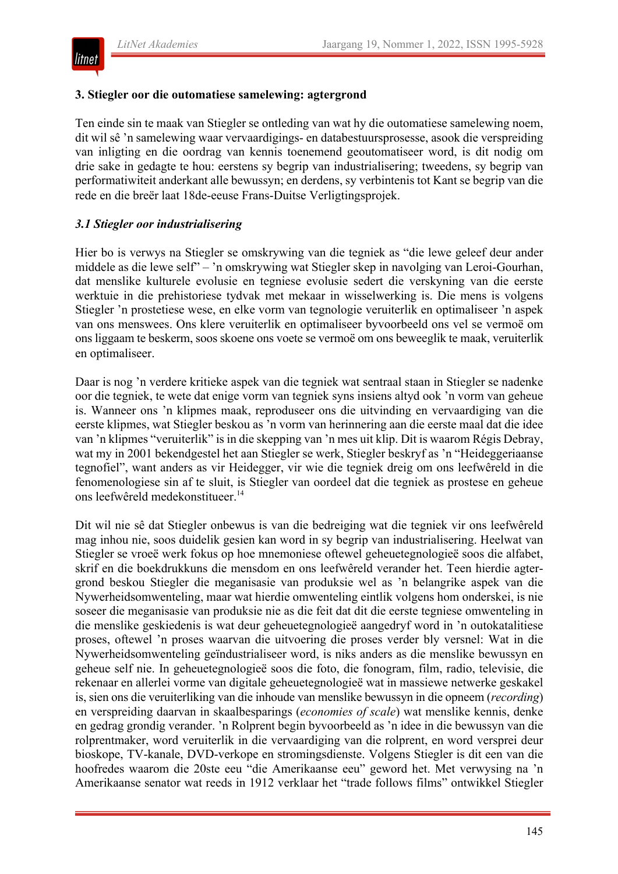

#### **3. Stiegler oor die outomatiese samelewing: agtergrond**

Ten einde sin te maak van Stiegler se ontleding van wat hy die outomatiese samelewing noem, dit wil sê 'n samelewing waar vervaardigings- en databestuursprosesse, asook die verspreiding van inligting en die oordrag van kennis toenemend geoutomatiseer word, is dit nodig om drie sake in gedagte te hou: eerstens sy begrip van industrialisering; tweedens, sy begrip van performatiwiteit anderkant alle bewussyn; en derdens, sy verbintenis tot Kant se begrip van die rede en die breër laat 18de-eeuse Frans-Duitse Verligtingsprojek.

#### *3.1 Stiegler oor industrialisering*

Hier bo is verwys na Stiegler se omskrywing van die tegniek as "die lewe geleef deur ander middele as die lewe self" – 'n omskrywing wat Stiegler skep in navolging van Leroi-Gourhan, dat menslike kulturele evolusie en tegniese evolusie sedert die verskyning van die eerste werktuie in die prehistoriese tydvak met mekaar in wisselwerking is. Die mens is volgens Stiegler 'n prostetiese wese, en elke vorm van tegnologie veruiterlik en optimaliseer 'n aspek van ons menswees. Ons klere veruiterlik en optimaliseer byvoorbeeld ons vel se vermoë om ons liggaam te beskerm, soos skoene ons voete se vermoë om ons beweeglik te maak, veruiterlik en optimaliseer.

Daar is nog 'n verdere kritieke aspek van die tegniek wat sentraal staan in Stiegler se nadenke oor die tegniek, te wete dat enige vorm van tegniek syns insiens altyd ook 'n vorm van geheue is. Wanneer ons 'n klipmes maak, reproduseer ons die uitvinding en vervaardiging van die eerste klipmes, wat Stiegler beskou as 'n vorm van herinnering aan die eerste maal dat die idee van 'n klipmes "veruiterlik" is in die skepping van 'n mes uit klip. Dit is waarom Régis Debray, wat my in 2001 bekendgestel het aan Stiegler se werk, Stiegler beskryf as 'n "Heideggeriaanse tegnofiel", want anders as vir Heidegger, vir wie die tegniek dreig om ons leefwêreld in die fenomenologiese sin af te sluit, is Stiegler van oordeel dat die tegniek as prostese en geheue ons leefwêreld medekonstitueer.<sup>14</sup>

Dit wil nie sê dat Stiegler onbewus is van die bedreiging wat die tegniek vir ons leefwêreld mag inhou nie, soos duidelik gesien kan word in sy begrip van industrialisering. Heelwat van Stiegler se vroeë werk fokus op hoe mnemoniese oftewel geheuetegnologieë soos die alfabet, skrif en die boekdrukkuns die mensdom en ons leefwêreld verander het. Teen hierdie agtergrond beskou Stiegler die meganisasie van produksie wel as 'n belangrike aspek van die Nywerheidsomwenteling, maar wat hierdie omwenteling eintlik volgens hom onderskei, is nie soseer die meganisasie van produksie nie as die feit dat dit die eerste tegniese omwenteling in die menslike geskiedenis is wat deur geheuetegnologieë aangedryf word in 'n outokatalitiese proses, oftewel 'n proses waarvan die uitvoering die proses verder bly versnel: Wat in die Nywerheidsomwenteling geïndustrialiseer word, is niks anders as die menslike bewussyn en geheue self nie. In geheuetegnologieë soos die foto, die fonogram, film, radio, televisie, die rekenaar en allerlei vorme van digitale geheuetegnologieë wat in massiewe netwerke geskakel is, sien ons die veruiterliking van die inhoude van menslike bewussyn in die opneem (*recording*) en verspreiding daarvan in skaalbesparings (*economies of scale*) wat menslike kennis, denke en gedrag grondig verander. 'n Rolprent begin byvoorbeeld as 'n idee in die bewussyn van die rolprentmaker, word veruiterlik in die vervaardiging van die rolprent, en word versprei deur bioskope, TV-kanale, DVD-verkope en stromingsdienste. Volgens Stiegler is dit een van die hoofredes waarom die 20ste eeu "die Amerikaanse eeu" geword het. Met verwysing na 'n Amerikaanse senator wat reeds in 1912 verklaar het "trade follows films" ontwikkel Stiegler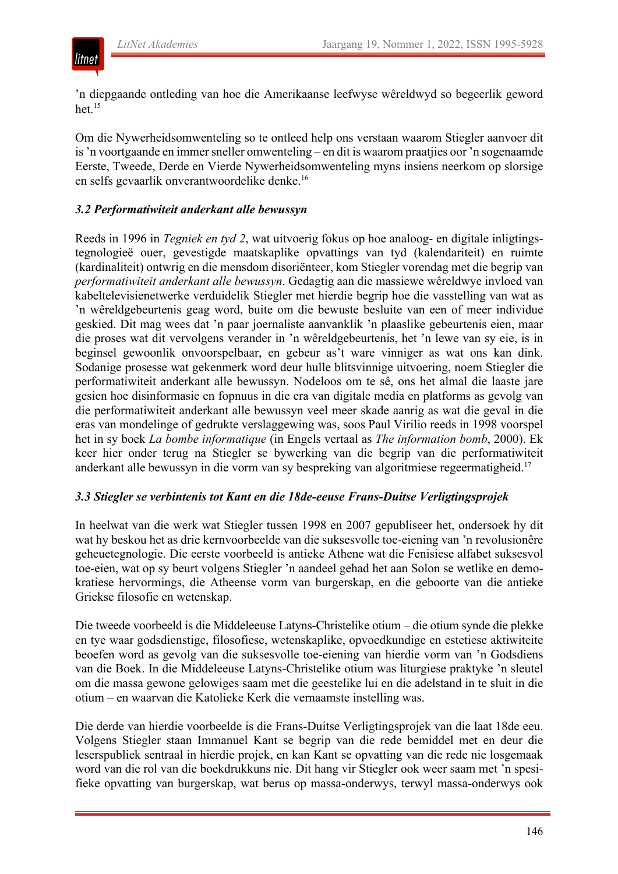

'n diepgaande ontleding van hoe die Amerikaanse leefwyse wêreldwyd so begeerlik geword het. $15$ 

Om die Nywerheidsomwenteling so te ontleed help ons verstaan waarom Stiegler aanvoer dit is 'n voortgaande en immer sneller omwenteling – en dit is waarom praatjies oor 'n sogenaamde Eerste, Tweede, Derde en Vierde Nywerheidsomwenteling myns insiens neerkom op slorsige en selfs gevaarlik onverantwoordelike denke.16

#### *3.2 Performatiwiteit anderkant alle bewussyn*

Reeds in 1996 in *Tegniek en tyd 2*, wat uitvoerig fokus op hoe analoog- en digitale inligtingstegnologieë ouer, gevestigde maatskaplike opvattings van tyd (kalendariteit) en ruimte (kardinaliteit) ontwrig en die mensdom disoriënteer, kom Stiegler vorendag met die begrip van *performatiwiteit anderkant alle bewussyn*. Gedagtig aan die massiewe wêreldwye invloed van kabeltelevisienetwerke verduidelik Stiegler met hierdie begrip hoe die vasstelling van wat as 'n wêreldgebeurtenis geag word, buite om die bewuste besluite van een of meer individue geskied. Dit mag wees dat 'n paar joernaliste aanvanklik 'n plaaslike gebeurtenis eien, maar die proses wat dit vervolgens verander in 'n wêreldgebeurtenis, het 'n lewe van sy eie, is in beginsel gewoonlik onvoorspelbaar, en gebeur as't ware vinniger as wat ons kan dink. Sodanige prosesse wat gekenmerk word deur hulle blitsvinnige uitvoering, noem Stiegler die performatiwiteit anderkant alle bewussyn. Nodeloos om te sê, ons het almal die laaste jare gesien hoe disinformasie en fopnuus in die era van digitale media en platforms as gevolg van die performatiwiteit anderkant alle bewussyn veel meer skade aanrig as wat die geval in die eras van mondelinge of gedrukte verslaggewing was, soos Paul Virilio reeds in 1998 voorspel het in sy boek *La bombe informatique* (in Engels vertaal as *The information bomb*, 2000). Ek keer hier onder terug na Stiegler se bywerking van die begrip van die performatiwiteit anderkant alle bewussyn in die vorm van sy bespreking van algoritmiese regeermatigheid.17

#### *3.3 Stiegler se verbintenis tot Kant en die 18de-eeuse Frans-Duitse Verligtingsprojek*

In heelwat van die werk wat Stiegler tussen 1998 en 2007 gepubliseer het, ondersoek hy dit wat hy beskou het as drie kernvoorbeelde van die suksesvolle toe-eiening van 'n revolusionêre geheuetegnologie. Die eerste voorbeeld is antieke Athene wat die Fenisiese alfabet suksesvol toe-eien, wat op sy beurt volgens Stiegler 'n aandeel gehad het aan Solon se wetlike en demokratiese hervormings, die Atheense vorm van burgerskap, en die geboorte van die antieke Griekse filosofie en wetenskap.

Die tweede voorbeeld is die Middeleeuse Latyns-Christelike otium – die otium synde die plekke en tye waar godsdienstige, filosofiese, wetenskaplike, opvoedkundige en estetiese aktiwiteite beoefen word as gevolg van die suksesvolle toe-eiening van hierdie vorm van 'n Godsdiens van die Boek. In die Middeleeuse Latyns-Christelike otium was liturgiese praktyke 'n sleutel om die massa gewone gelowiges saam met die geestelike lui en die adelstand in te sluit in die otium – en waarvan die Katolieke Kerk die vernaamste instelling was.

Die derde van hierdie voorbeelde is die Frans-Duitse Verligtingsprojek van die laat 18de eeu. Volgens Stiegler staan Immanuel Kant se begrip van die rede bemiddel met en deur die leserspubliek sentraal in hierdie projek, en kan Kant se opvatting van die rede nie losgemaak word van die rol van die boekdrukkuns nie. Dit hang vir Stiegler ook weer saam met 'n spesifieke opvatting van burgerskap, wat berus op massa-onderwys, terwyl massa-onderwys ook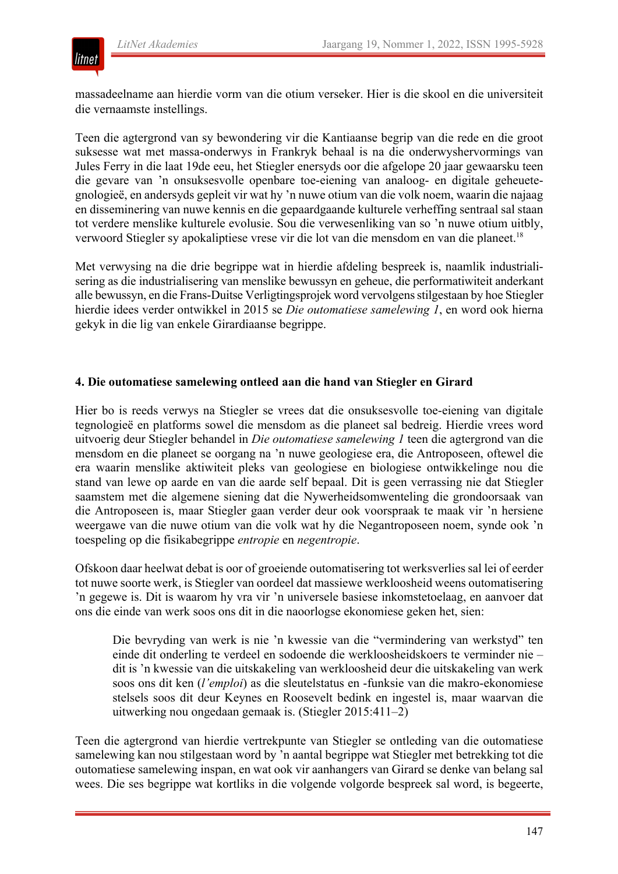

massadeelname aan hierdie vorm van die otium verseker. Hier is die skool en die universiteit die vernaamste instellings.

Teen die agtergrond van sy bewondering vir die Kantiaanse begrip van die rede en die groot suksesse wat met massa-onderwys in Frankryk behaal is na die onderwyshervormings van Jules Ferry in die laat 19de eeu, het Stiegler enersyds oor die afgelope 20 jaar gewaarsku teen die gevare van 'n onsuksesvolle openbare toe-eiening van analoog- en digitale geheuetegnologieë, en andersyds gepleit vir wat hy 'n nuwe otium van die volk noem, waarin die najaag en disseminering van nuwe kennis en die gepaardgaande kulturele verheffing sentraal sal staan tot verdere menslike kulturele evolusie. Sou die verwesenliking van so 'n nuwe otium uitbly, verwoord Stiegler sy apokaliptiese vrese vir die lot van die mensdom en van die planeet.18

Met verwysing na die drie begrippe wat in hierdie afdeling bespreek is, naamlik industrialisering as die industrialisering van menslike bewussyn en geheue, die performatiwiteit anderkant alle bewussyn, en die Frans-Duitse Verligtingsprojek word vervolgens stilgestaan by hoe Stiegler hierdie idees verder ontwikkel in 2015 se *Die outomatiese samelewing 1*, en word ook hierna gekyk in die lig van enkele Girardiaanse begrippe.

#### **4. Die outomatiese samelewing ontleed aan die hand van Stiegler en Girard**

Hier bo is reeds verwys na Stiegler se vrees dat die onsuksesvolle toe-eiening van digitale tegnologieë en platforms sowel die mensdom as die planeet sal bedreig. Hierdie vrees word uitvoerig deur Stiegler behandel in *Die outomatiese samelewing 1* teen die agtergrond van die mensdom en die planeet se oorgang na 'n nuwe geologiese era, die Antroposeen, oftewel die era waarin menslike aktiwiteit pleks van geologiese en biologiese ontwikkelinge nou die stand van lewe op aarde en van die aarde self bepaal. Dit is geen verrassing nie dat Stiegler saamstem met die algemene siening dat die Nywerheidsomwenteling die grondoorsaak van die Antroposeen is, maar Stiegler gaan verder deur ook voorspraak te maak vir 'n hersiene weergawe van die nuwe otium van die volk wat hy die Negantroposeen noem, synde ook 'n toespeling op die fisikabegrippe *entropie* en *negentropie*.

Ofskoon daar heelwat debat is oor of groeiende outomatisering tot werksverlies sal lei of eerder tot nuwe soorte werk, is Stiegler van oordeel dat massiewe werkloosheid weens outomatisering 'n gegewe is. Dit is waarom hy vra vir 'n universele basiese inkomstetoelaag, en aanvoer dat ons die einde van werk soos ons dit in die naoorlogse ekonomiese geken het, sien:

Die bevryding van werk is nie 'n kwessie van die "vermindering van werkstyd" ten einde dit onderling te verdeel en sodoende die werkloosheidskoers te verminder nie – dit is 'n kwessie van die uitskakeling van werkloosheid deur die uitskakeling van werk soos ons dit ken (*l'emploi*) as die sleutelstatus en -funksie van die makro-ekonomiese stelsels soos dit deur Keynes en Roosevelt bedink en ingestel is, maar waarvan die uitwerking nou ongedaan gemaak is. (Stiegler 2015:411–2)

Teen die agtergrond van hierdie vertrekpunte van Stiegler se ontleding van die outomatiese samelewing kan nou stilgestaan word by 'n aantal begrippe wat Stiegler met betrekking tot die outomatiese samelewing inspan, en wat ook vir aanhangers van Girard se denke van belang sal wees. Die ses begrippe wat kortliks in die volgende volgorde bespreek sal word, is begeerte,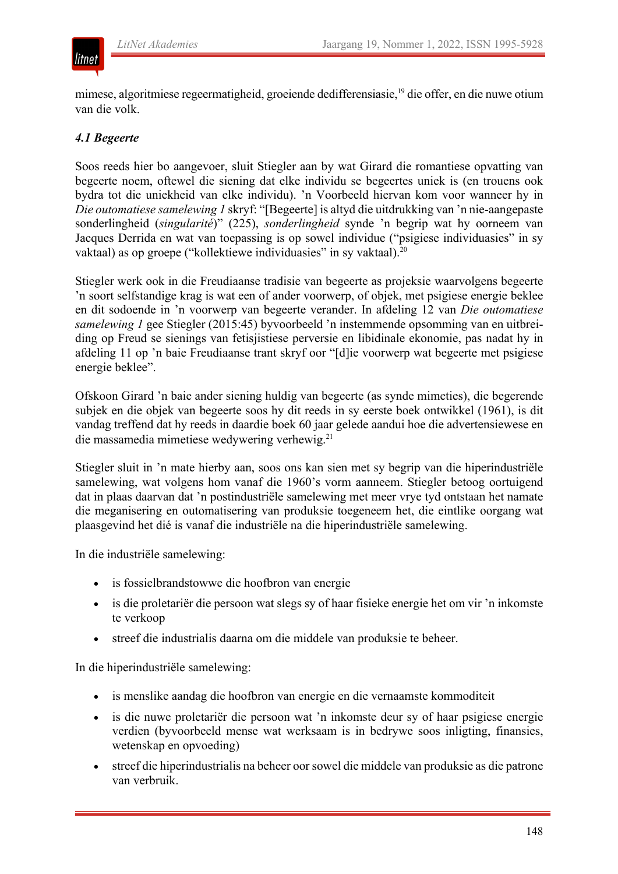## litnet

mimese, algoritmiese regeermatigheid, groeiende dedifferensiasie,<sup>19</sup> die offer, en die nuwe otium van die volk.

#### *4.1 Begeerte*

Soos reeds hier bo aangevoer, sluit Stiegler aan by wat Girard die romantiese opvatting van begeerte noem, oftewel die siening dat elke individu se begeertes uniek is (en trouens ook bydra tot die uniekheid van elke individu). 'n Voorbeeld hiervan kom voor wanneer hy in *Die outomatiese samelewing 1* skryf: "[Begeerte] is altyd die uitdrukking van 'n nie-aangepaste sonderlingheid (*singularité*)" (225), *sonderlingheid* synde 'n begrip wat hy oorneem van Jacques Derrida en wat van toepassing is op sowel individue ("psigiese individuasies" in sy vaktaal) as op groepe ("kollektiewe individuasies" in sy vaktaal).<sup>20</sup>

Stiegler werk ook in die Freudiaanse tradisie van begeerte as projeksie waarvolgens begeerte 'n soort selfstandige krag is wat een of ander voorwerp, of objek, met psigiese energie beklee en dit sodoende in 'n voorwerp van begeerte verander. In afdeling 12 van *Die outomatiese samelewing 1* gee Stiegler (2015:45) byvoorbeeld 'n instemmende opsomming van en uitbreiding op Freud se sienings van fetisjistiese perversie en libidinale ekonomie, pas nadat hy in afdeling 11 op 'n baie Freudiaanse trant skryf oor "[d]ie voorwerp wat begeerte met psigiese energie beklee".

Ofskoon Girard 'n baie ander siening huldig van begeerte (as synde mimeties), die begerende subjek en die objek van begeerte soos hy dit reeds in sy eerste boek ontwikkel (1961), is dit vandag treffend dat hy reeds in daardie boek 60 jaar gelede aandui hoe die advertensiewese en die massamedia mimetiese wedywering verhewig.21

Stiegler sluit in 'n mate hierby aan, soos ons kan sien met sy begrip van die hiperindustriële samelewing, wat volgens hom vanaf die 1960's vorm aanneem. Stiegler betoog oortuigend dat in plaas daarvan dat 'n postindustriële samelewing met meer vrye tyd ontstaan het namate die meganisering en outomatisering van produksie toegeneem het, die eintlike oorgang wat plaasgevind het dié is vanaf die industriële na die hiperindustriële samelewing.

In die industriële samelewing:

- is fossielbrandstowwe die hoofbron van energie
- is die proletariër die persoon wat slegs sy of haar fisieke energie het om vir 'n inkomste te verkoop
- streef die industrialis daarna om die middele van produksie te beheer.

In die hiperindustriële samelewing:

- is menslike aandag die hoofbron van energie en die vernaamste kommoditeit
- is die nuwe proletariër die persoon wat 'n inkomste deur sy of haar psigiese energie verdien (byvoorbeeld mense wat werksaam is in bedrywe soos inligting, finansies, wetenskap en opvoeding)
- streef die hiperindustrialis na beheer oor sowel die middele van produksie as die patrone van verbruik.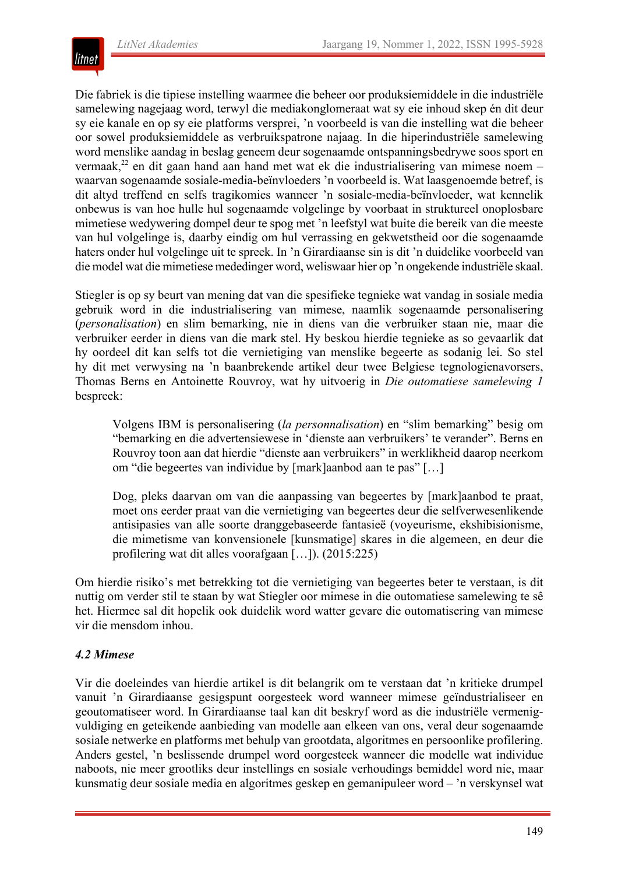

Die fabriek is die tipiese instelling waarmee die beheer oor produksiemiddele in die industriële samelewing nagejaag word, terwyl die mediakonglomeraat wat sy eie inhoud skep én dit deur sy eie kanale en op sy eie platforms versprei, 'n voorbeeld is van die instelling wat die beheer oor sowel produksiemiddele as verbruikspatrone najaag. In die hiperindustriële samelewing word menslike aandag in beslag geneem deur sogenaamde ontspanningsbedrywe soos sport en vermaak,<sup>22</sup> en dit gaan hand aan hand met wat ek die industrialisering van mimese noem – waarvan sogenaamde sosiale-media-beïnvloeders 'n voorbeeld is. Wat laasgenoemde betref, is dit altyd treffend en selfs tragikomies wanneer 'n sosiale-media-beïnvloeder, wat kennelik onbewus is van hoe hulle hul sogenaamde volgelinge by voorbaat in struktureel onoplosbare mimetiese wedywering dompel deur te spog met 'n leefstyl wat buite die bereik van die meeste van hul volgelinge is, daarby eindig om hul verrassing en gekwetstheid oor die sogenaamde haters onder hul volgelinge uit te spreek. In 'n Girardiaanse sin is dit 'n duidelike voorbeeld van die model wat die mimetiese mededinger word, weliswaar hier op 'n ongekende industriële skaal.

Stiegler is op sy beurt van mening dat van die spesifieke tegnieke wat vandag in sosiale media gebruik word in die industrialisering van mimese, naamlik sogenaamde personalisering (*personalisation*) en slim bemarking, nie in diens van die verbruiker staan nie, maar die verbruiker eerder in diens van die mark stel. Hy beskou hierdie tegnieke as so gevaarlik dat hy oordeel dit kan selfs tot die vernietiging van menslike begeerte as sodanig lei. So stel hy dit met verwysing na 'n baanbrekende artikel deur twee Belgiese tegnologienavorsers, Thomas Berns en Antoinette Rouvroy, wat hy uitvoerig in *Die outomatiese samelewing 1* bespreek:

Volgens IBM is personalisering (*la personnalisation*) en "slim bemarking" besig om "bemarking en die advertensiewese in 'dienste aan verbruikers' te verander". Berns en Rouvroy toon aan dat hierdie "dienste aan verbruikers" in werklikheid daarop neerkom om "die begeertes van individue by [mark]aanbod aan te pas" […]

Dog, pleks daarvan om van die aanpassing van begeertes by [mark]aanbod te praat, moet ons eerder praat van die vernietiging van begeertes deur die selfverwesenlikende antisipasies van alle soorte dranggebaseerde fantasieë (voyeurisme, ekshibisionisme, die mimetisme van konvensionele [kunsmatige] skares in die algemeen, en deur die profilering wat dit alles voorafgaan […]). (2015:225)

Om hierdie risiko's met betrekking tot die vernietiging van begeertes beter te verstaan, is dit nuttig om verder stil te staan by wat Stiegler oor mimese in die outomatiese samelewing te sê het. Hiermee sal dit hopelik ook duidelik word watter gevare die outomatisering van mimese vir die mensdom inhou.

#### *4.2 Mimese*

Vir die doeleindes van hierdie artikel is dit belangrik om te verstaan dat 'n kritieke drumpel vanuit 'n Girardiaanse gesigspunt oorgesteek word wanneer mimese geïndustrialiseer en geoutomatiseer word. In Girardiaanse taal kan dit beskryf word as die industriële vermenigvuldiging en geteikende aanbieding van modelle aan elkeen van ons, veral deur sogenaamde sosiale netwerke en platforms met behulp van grootdata, algoritmes en persoonlike profilering. Anders gestel, 'n beslissende drumpel word oorgesteek wanneer die modelle wat individue naboots, nie meer grootliks deur instellings en sosiale verhoudings bemiddel word nie, maar kunsmatig deur sosiale media en algoritmes geskep en gemanipuleer word – 'n verskynsel wat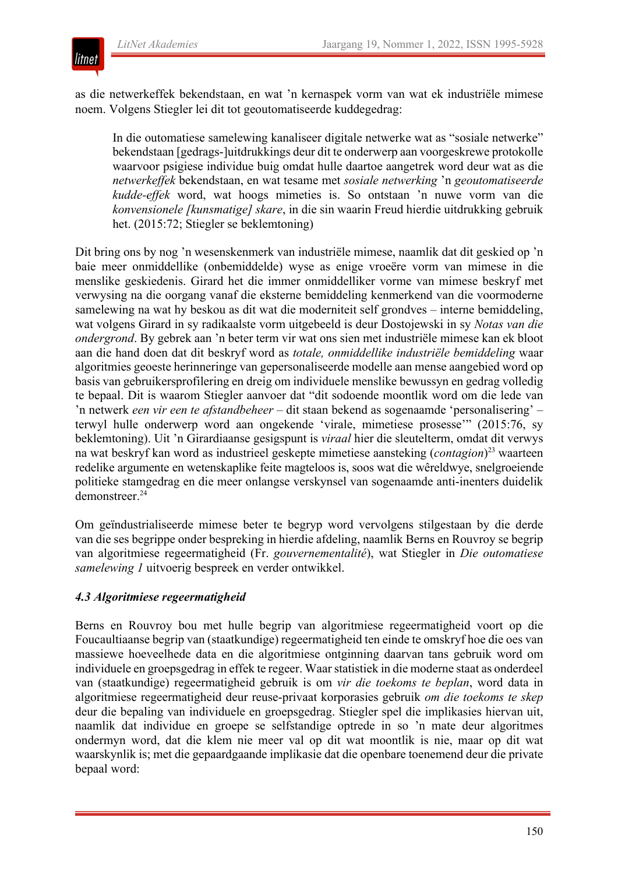

as die netwerkeffek bekendstaan, en wat 'n kernaspek vorm van wat ek industriële mimese noem. Volgens Stiegler lei dit tot geoutomatiseerde kuddegedrag:

In die outomatiese samelewing kanaliseer digitale netwerke wat as "sosiale netwerke" bekendstaan [gedrags-]uitdrukkings deur dit te onderwerp aan voorgeskrewe protokolle waarvoor psigiese individue buig omdat hulle daartoe aangetrek word deur wat as die *netwerkeffek* bekendstaan, en wat tesame met *sosiale netwerking* 'n *geoutomatiseerde kudde-effek* word, wat hoogs mimeties is. So ontstaan 'n nuwe vorm van die *konvensionele [kunsmatige] skare*, in die sin waarin Freud hierdie uitdrukking gebruik het. (2015:72; Stiegler se beklemtoning)

Dit bring ons by nog 'n wesenskenmerk van industriële mimese, naamlik dat dit geskied op 'n baie meer onmiddellike (onbemiddelde) wyse as enige vroeëre vorm van mimese in die menslike geskiedenis. Girard het die immer onmiddelliker vorme van mimese beskryf met verwysing na die oorgang vanaf die eksterne bemiddeling kenmerkend van die voormoderne samelewing na wat hy beskou as dit wat die moderniteit self grondves – interne bemiddeling, wat volgens Girard in sy radikaalste vorm uitgebeeld is deur Dostojewski in sy *Notas van die ondergrond*. By gebrek aan 'n beter term vir wat ons sien met industriële mimese kan ek bloot aan die hand doen dat dit beskryf word as *totale, onmiddellike industriële bemiddeling* waar algoritmies geoeste herinneringe van gepersonaliseerde modelle aan mense aangebied word op basis van gebruikersprofilering en dreig om individuele menslike bewussyn en gedrag volledig te bepaal. Dit is waarom Stiegler aanvoer dat "dit sodoende moontlik word om die lede van 'n netwerk *een vir een te afstandbeheer* – dit staan bekend as sogenaamde 'personalisering' – terwyl hulle onderwerp word aan ongekende 'virale, mimetiese prosesse'" (2015:76, sy beklemtoning). Uit 'n Girardiaanse gesigspunt is *viraal* hier die sleutelterm, omdat dit verwys na wat beskryf kan word as industrieel geskepte mimetiese aansteking (*contagion*) <sup>23</sup> waarteen redelike argumente en wetenskaplike feite magteloos is, soos wat die wêreldwye, snelgroeiende politieke stamgedrag en die meer onlangse verskynsel van sogenaamde anti-inenters duidelik demonstreer.<sup>24</sup>

Om geïndustrialiseerde mimese beter te begryp word vervolgens stilgestaan by die derde van die ses begrippe onder bespreking in hierdie afdeling, naamlik Berns en Rouvroy se begrip van algoritmiese regeermatigheid (Fr. *gouvernementalité*), wat Stiegler in *Die outomatiese samelewing 1* uitvoerig bespreek en verder ontwikkel.

#### *4.3 Algoritmiese regeermatigheid*

Berns en Rouvroy bou met hulle begrip van algoritmiese regeermatigheid voort op die Foucaultiaanse begrip van (staatkundige) regeermatigheid ten einde te omskryf hoe die oes van massiewe hoeveelhede data en die algoritmiese ontginning daarvan tans gebruik word om individuele en groepsgedrag in effek te regeer. Waar statistiek in die moderne staat as onderdeel van (staatkundige) regeermatigheid gebruik is om *vir die toekoms te beplan*, word data in algoritmiese regeermatigheid deur reuse-privaat korporasies gebruik *om die toekoms te skep* deur die bepaling van individuele en groepsgedrag. Stiegler spel die implikasies hiervan uit, naamlik dat individue en groepe se selfstandige optrede in so 'n mate deur algoritmes ondermyn word, dat die klem nie meer val op dit wat moontlik is nie, maar op dit wat waarskynlik is; met die gepaardgaande implikasie dat die openbare toenemend deur die private bepaal word: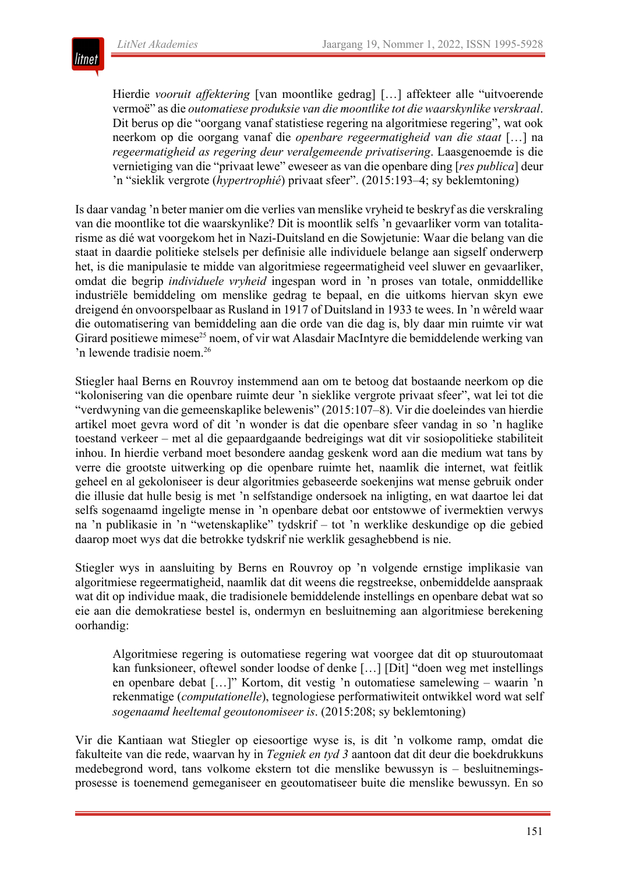

Hierdie *vooruit affektering* [van moontlike gedrag] […] affekteer alle "uitvoerende vermoë" as die *outomatiese produksie van die moontlike tot die waarskynlike verskraal*. Dit berus op die "oorgang vanaf statistiese regering na algoritmiese regering", wat ook neerkom op die oorgang vanaf die *openbare regeermatigheid van die staat* […] na *regeermatigheid as regering deur veralgemeende privatisering*. Laasgenoemde is die vernietiging van die "privaat lewe" eweseer as van die openbare ding [*res publica*] deur 'n "sieklik vergrote (*hypertrophié*) privaat sfeer". (2015:193–4; sy beklemtoning)

Is daar vandag 'n beter manier om die verlies van menslike vryheid te beskryf as die verskraling van die moontlike tot die waarskynlike? Dit is moontlik selfs 'n gevaarliker vorm van totalitarisme as dié wat voorgekom het in Nazi-Duitsland en die Sowjetunie: Waar die belang van die staat in daardie politieke stelsels per definisie alle individuele belange aan sigself onderwerp het, is die manipulasie te midde van algoritmiese regeermatigheid veel sluwer en gevaarliker, omdat die begrip *individuele vryheid* ingespan word in 'n proses van totale, onmiddellike industriële bemiddeling om menslike gedrag te bepaal, en die uitkoms hiervan skyn ewe dreigend én onvoorspelbaar as Rusland in 1917 of Duitsland in 1933 te wees. In 'n wêreld waar die outomatisering van bemiddeling aan die orde van die dag is, bly daar min ruimte vir wat Girard positiewe mimese<sup>25</sup> noem, of vir wat Alasdair MacIntyre die bemiddelende werking van 'n lewende tradisie noem.26

Stiegler haal Berns en Rouvroy instemmend aan om te betoog dat bostaande neerkom op die "kolonisering van die openbare ruimte deur 'n sieklike vergrote privaat sfeer", wat lei tot die "verdwyning van die gemeenskaplike belewenis" (2015:107–8). Vir die doeleindes van hierdie artikel moet gevra word of dit 'n wonder is dat die openbare sfeer vandag in so 'n haglike toestand verkeer – met al die gepaardgaande bedreigings wat dit vir sosiopolitieke stabiliteit inhou. In hierdie verband moet besondere aandag geskenk word aan die medium wat tans by verre die grootste uitwerking op die openbare ruimte het, naamlik die internet, wat feitlik geheel en al gekoloniseer is deur algoritmies gebaseerde soekenjins wat mense gebruik onder die illusie dat hulle besig is met 'n selfstandige ondersoek na inligting, en wat daartoe lei dat selfs sogenaamd ingeligte mense in 'n openbare debat oor entstowwe of ivermektien verwys na 'n publikasie in 'n "wetenskaplike" tydskrif – tot 'n werklike deskundige op die gebied daarop moet wys dat die betrokke tydskrif nie werklik gesaghebbend is nie.

Stiegler wys in aansluiting by Berns en Rouvroy op 'n volgende ernstige implikasie van algoritmiese regeermatigheid, naamlik dat dit weens die regstreekse, onbemiddelde aanspraak wat dit op individue maak, die tradisionele bemiddelende instellings en openbare debat wat so eie aan die demokratiese bestel is, ondermyn en besluitneming aan algoritmiese berekening oorhandig:

Algoritmiese regering is outomatiese regering wat voorgee dat dit op stuuroutomaat kan funksioneer, oftewel sonder loodse of denke […] [Dit] "doen weg met instellings en openbare debat […]" Kortom, dit vestig 'n outomatiese samelewing – waarin 'n rekenmatige (*computationelle*), tegnologiese performatiwiteit ontwikkel word wat self *sogenaamd heeltemal geoutonomiseer is*. (2015:208; sy beklemtoning)

Vir die Kantiaan wat Stiegler op eiesoortige wyse is, is dit 'n volkome ramp, omdat die fakulteite van die rede, waarvan hy in *Tegniek en tyd 3* aantoon dat dit deur die boekdrukkuns medebegrond word, tans volkome ekstern tot die menslike bewussyn is – besluitnemingsprosesse is toenemend gemeganiseer en geoutomatiseer buite die menslike bewussyn. En so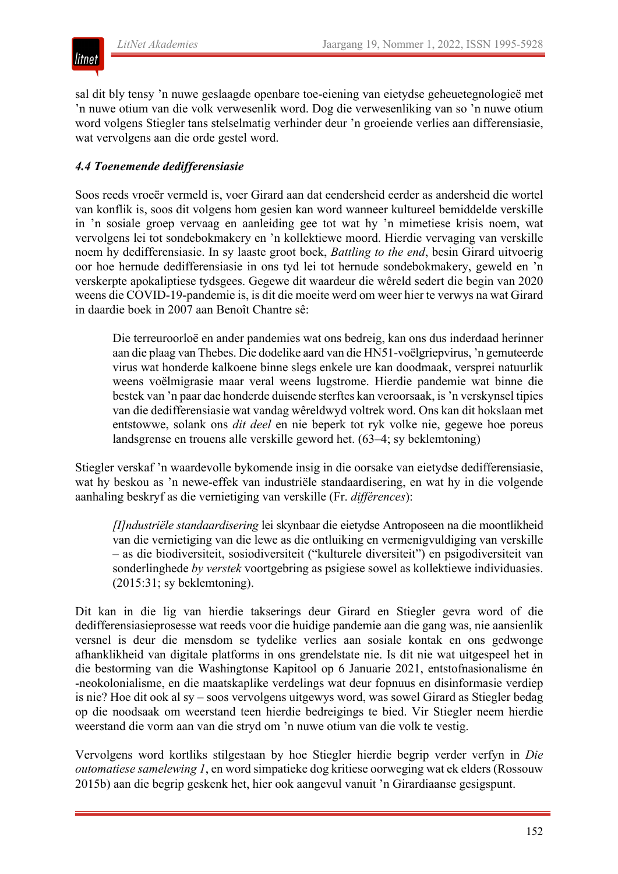

sal dit bly tensy 'n nuwe geslaagde openbare toe-eiening van eietydse geheuetegnologieë met 'n nuwe otium van die volk verwesenlik word. Dog die verwesenliking van so 'n nuwe otium word volgens Stiegler tans stelselmatig verhinder deur 'n groeiende verlies aan differensiasie, wat vervolgens aan die orde gestel word.

#### *4.4 Toenemende dedifferensiasie*

Soos reeds vroeër vermeld is, voer Girard aan dat eendersheid eerder as andersheid die wortel van konflik is, soos dit volgens hom gesien kan word wanneer kultureel bemiddelde verskille in 'n sosiale groep vervaag en aanleiding gee tot wat hy 'n mimetiese krisis noem, wat vervolgens lei tot sondebokmakery en 'n kollektiewe moord. Hierdie vervaging van verskille noem hy dedifferensiasie. In sy laaste groot boek, *Battling to the end*, besin Girard uitvoerig oor hoe hernude dedifferensiasie in ons tyd lei tot hernude sondebokmakery, geweld en 'n verskerpte apokaliptiese tydsgees. Gegewe dit waardeur die wêreld sedert die begin van 2020 weens die COVID-19-pandemie is, is dit die moeite werd om weer hier te verwys na wat Girard in daardie boek in 2007 aan Benoît Chantre sê:

Die terreuroorloë en ander pandemies wat ons bedreig, kan ons dus inderdaad herinner aan die plaag van Thebes. Die dodelike aard van die HN51-voëlgriepvirus, 'n gemuteerde virus wat honderde kalkoene binne slegs enkele ure kan doodmaak, versprei natuurlik weens voëlmigrasie maar veral weens lugstrome. Hierdie pandemie wat binne die bestek van 'n paar dae honderde duisende sterftes kan veroorsaak, is 'n verskynsel tipies van die dedifferensiasie wat vandag wêreldwyd voltrek word. Ons kan dit hokslaan met entstowwe, solank ons *dit deel* en nie beperk tot ryk volke nie, gegewe hoe poreus landsgrense en trouens alle verskille geword het. (63–4; sy beklemtoning)

Stiegler verskaf 'n waardevolle bykomende insig in die oorsake van eietydse dedifferensiasie, wat hy beskou as 'n newe-effek van industriële standaardisering, en wat hy in die volgende aanhaling beskryf as die vernietiging van verskille (Fr. *différences*):

*[I]ndustriële standaardisering* lei skynbaar die eietydse Antroposeen na die moontlikheid van die vernietiging van die lewe as die ontluiking en vermenigvuldiging van verskille – as die biodiversiteit, sosiodiversiteit ("kulturele diversiteit") en psigodiversiteit van sonderlinghede *by verstek* voortgebring as psigiese sowel as kollektiewe individuasies. (2015:31; sy beklemtoning).

Dit kan in die lig van hierdie takserings deur Girard en Stiegler gevra word of die dedifferensiasieprosesse wat reeds voor die huidige pandemie aan die gang was, nie aansienlik versnel is deur die mensdom se tydelike verlies aan sosiale kontak en ons gedwonge afhanklikheid van digitale platforms in ons grendelstate nie. Is dit nie wat uitgespeel het in die bestorming van die Washingtonse Kapitool op 6 Januarie 2021, entstofnasionalisme én -neokolonialisme, en die maatskaplike verdelings wat deur fopnuus en disinformasie verdiep is nie? Hoe dit ook al sy – soos vervolgens uitgewys word, was sowel Girard as Stiegler bedag op die noodsaak om weerstand teen hierdie bedreigings te bied. Vir Stiegler neem hierdie weerstand die vorm aan van die stryd om 'n nuwe otium van die volk te vestig.

Vervolgens word kortliks stilgestaan by hoe Stiegler hierdie begrip verder verfyn in *Die outomatiese samelewing 1*, en word simpatieke dog kritiese oorweging wat ek elders (Rossouw 2015b) aan die begrip geskenk het, hier ook aangevul vanuit 'n Girardiaanse gesigspunt.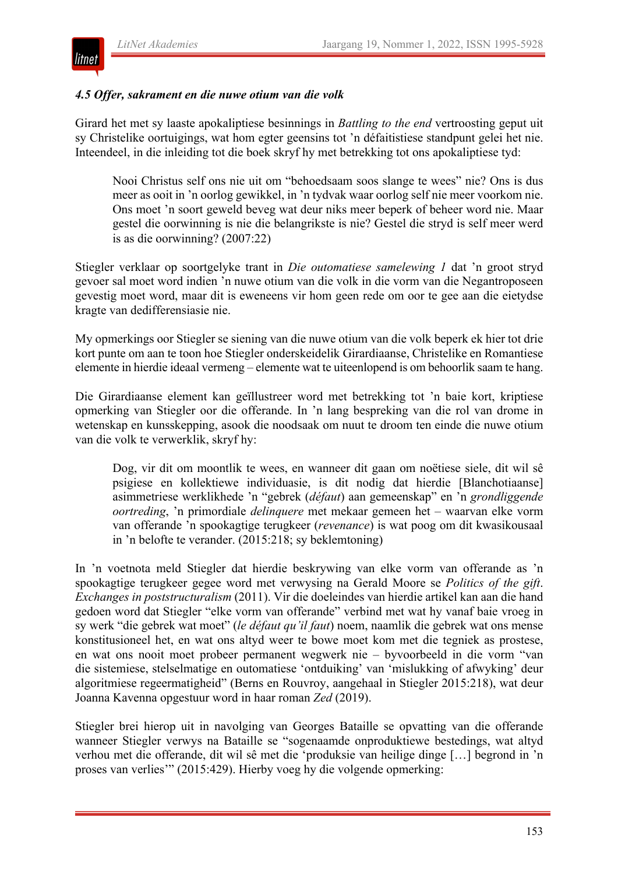

#### *4.5 Offer, sakrament en die nuwe otium van die volk*

Girard het met sy laaste apokaliptiese besinnings in *Battling to the end* vertroosting geput uit sy Christelike oortuigings, wat hom egter geensins tot 'n défaitistiese standpunt gelei het nie. Inteendeel, in die inleiding tot die boek skryf hy met betrekking tot ons apokaliptiese tyd:

Nooi Christus self ons nie uit om "behoedsaam soos slange te wees" nie? Ons is dus meer as ooit in 'n oorlog gewikkel, in 'n tydvak waar oorlog self nie meer voorkom nie. Ons moet 'n soort geweld beveg wat deur niks meer beperk of beheer word nie. Maar gestel die oorwinning is nie die belangrikste is nie? Gestel die stryd is self meer werd is as die oorwinning? (2007:22)

Stiegler verklaar op soortgelyke trant in *Die outomatiese samelewing 1* dat 'n groot stryd gevoer sal moet word indien 'n nuwe otium van die volk in die vorm van die Negantroposeen gevestig moet word, maar dit is eweneens vir hom geen rede om oor te gee aan die eietydse kragte van dedifferensiasie nie.

My opmerkings oor Stiegler se siening van die nuwe otium van die volk beperk ek hier tot drie kort punte om aan te toon hoe Stiegler onderskeidelik Girardiaanse, Christelike en Romantiese elemente in hierdie ideaal vermeng – elemente wat te uiteenlopend is om behoorlik saam te hang.

Die Girardiaanse element kan geïllustreer word met betrekking tot 'n baie kort, kriptiese opmerking van Stiegler oor die offerande. In 'n lang bespreking van die rol van drome in wetenskap en kunsskepping, asook die noodsaak om nuut te droom ten einde die nuwe otium van die volk te verwerklik, skryf hy:

Dog, vir dit om moontlik te wees, en wanneer dit gaan om noëtiese siele, dit wil sê psigiese en kollektiewe individuasie, is dit nodig dat hierdie [Blanchotiaanse] asimmetriese werklikhede 'n "gebrek (*défaut*) aan gemeenskap" en 'n *grondliggende oortreding*, 'n primordiale *delinquere* met mekaar gemeen het – waarvan elke vorm van offerande 'n spookagtige terugkeer (*revenance*) is wat poog om dit kwasikousaal in 'n belofte te verander. (2015:218; sy beklemtoning)

In 'n voetnota meld Stiegler dat hierdie beskrywing van elke vorm van offerande as 'n spookagtige terugkeer gegee word met verwysing na Gerald Moore se *Politics of the gift*. *Exchanges in poststructuralism* (2011). Vir die doeleindes van hierdie artikel kan aan die hand gedoen word dat Stiegler "elke vorm van offerande" verbind met wat hy vanaf baie vroeg in sy werk "die gebrek wat moet" (*le défaut qu'il faut*) noem, naamlik die gebrek wat ons mense konstitusioneel het, en wat ons altyd weer te bowe moet kom met die tegniek as prostese, en wat ons nooit moet probeer permanent wegwerk nie – byvoorbeeld in die vorm "van die sistemiese, stelselmatige en outomatiese 'ontduiking' van 'mislukking of afwyking' deur algoritmiese regeermatigheid" (Berns en Rouvroy, aangehaal in Stiegler 2015:218), wat deur Joanna Kavenna opgestuur word in haar roman *Zed* (2019).

Stiegler brei hierop uit in navolging van Georges Bataille se opvatting van die offerande wanneer Stiegler verwys na Bataille se "sogenaamde onproduktiewe bestedings, wat altyd verhou met die offerande, dit wil sê met die 'produksie van heilige dinge […] begrond in 'n proses van verlies'" (2015:429). Hierby voeg hy die volgende opmerking: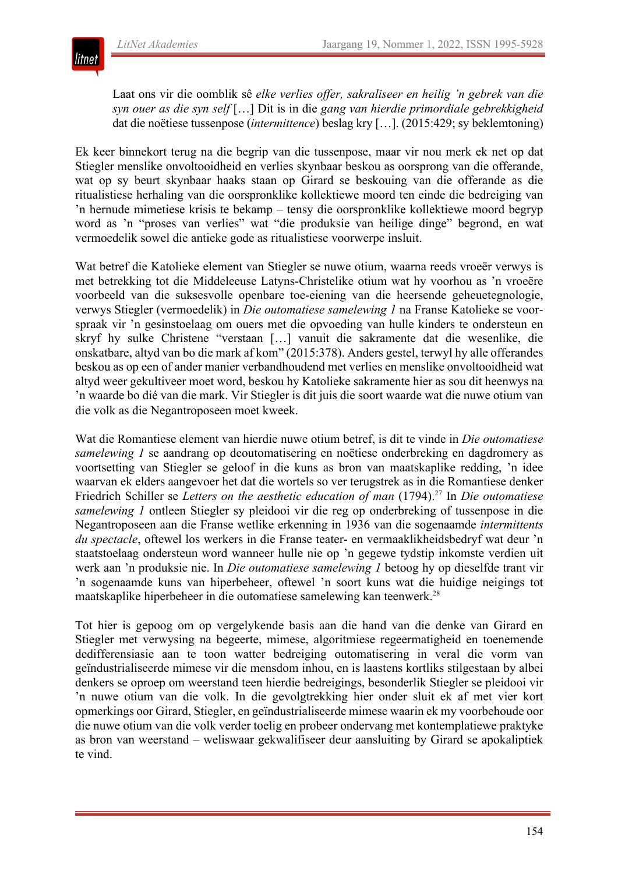

Laat ons vir die oomblik sê *elke verlies offer, sakraliseer en heilig 'n gebrek van die syn ouer as die syn self* […] Dit is in die *gang van hierdie primordiale gebrekkigheid* dat die noëtiese tussenpose (*intermittence*) beslag kry […]. (2015:429; sy beklemtoning)

Ek keer binnekort terug na die begrip van die tussenpose, maar vir nou merk ek net op dat Stiegler menslike onvoltooidheid en verlies skynbaar beskou as oorsprong van die offerande, wat op sy beurt skynbaar haaks staan op Girard se beskouing van die offerande as die ritualistiese herhaling van die oorspronklike kollektiewe moord ten einde die bedreiging van 'n hernude mimetiese krisis te bekamp – tensy die oorspronklike kollektiewe moord begryp word as 'n "proses van verlies" wat "die produksie van heilige dinge" begrond, en wat vermoedelik sowel die antieke gode as ritualistiese voorwerpe insluit.

Wat betref die Katolieke element van Stiegler se nuwe otium, waarna reeds vroeër verwys is met betrekking tot die Middeleeuse Latyns-Christelike otium wat hy voorhou as 'n vroeëre voorbeeld van die suksesvolle openbare toe-eiening van die heersende geheuetegnologie, verwys Stiegler (vermoedelik) in *Die outomatiese samelewing 1* na Franse Katolieke se voorspraak vir 'n gesinstoelaag om ouers met die opvoeding van hulle kinders te ondersteun en skryf hy sulke Christene "verstaan […] vanuit die sakramente dat die wesenlike, die onskatbare, altyd van bo die mark af kom" (2015:378). Anders gestel, terwyl hy alle offerandes beskou as op een of ander manier verbandhoudend met verlies en menslike onvoltooidheid wat altyd weer gekultiveer moet word, beskou hy Katolieke sakramente hier as sou dit heenwys na 'n waarde bo dié van die mark. Vir Stiegler is dit juis die soort waarde wat die nuwe otium van die volk as die Negantroposeen moet kweek.

Wat die Romantiese element van hierdie nuwe otium betref, is dit te vinde in *Die outomatiese samelewing 1* se aandrang op deoutomatisering en noëtiese onderbreking en dagdromery as voortsetting van Stiegler se geloof in die kuns as bron van maatskaplike redding, 'n idee waarvan ek elders aangevoer het dat die wortels so ver terugstrek as in die Romantiese denker Friedrich Schiller se *Letters on the aesthetic education of man* (1794).<sup>27</sup> In *Die outomatiese samelewing 1* ontleen Stiegler sy pleidooi vir die reg op onderbreking of tussenpose in die Negantroposeen aan die Franse wetlike erkenning in 1936 van die sogenaamde *intermittents du spectacle*, oftewel los werkers in die Franse teater- en vermaaklikheidsbedryf wat deur 'n staatstoelaag ondersteun word wanneer hulle nie op 'n gegewe tydstip inkomste verdien uit werk aan 'n produksie nie. In *Die outomatiese samelewing 1* betoog hy op dieselfde trant vir 'n sogenaamde kuns van hiperbeheer, oftewel 'n soort kuns wat die huidige neigings tot maatskaplike hiperbeheer in die outomatiese samelewing kan teenwerk.28

Tot hier is gepoog om op vergelykende basis aan die hand van die denke van Girard en Stiegler met verwysing na begeerte, mimese, algoritmiese regeermatigheid en toenemende dedifferensiasie aan te toon watter bedreiging outomatisering in veral die vorm van geïndustrialiseerde mimese vir die mensdom inhou, en is laastens kortliks stilgestaan by albei denkers se oproep om weerstand teen hierdie bedreigings, besonderlik Stiegler se pleidooi vir 'n nuwe otium van die volk. In die gevolgtrekking hier onder sluit ek af met vier kort opmerkings oor Girard, Stiegler, en geïndustrialiseerde mimese waarin ek my voorbehoude oor die nuwe otium van die volk verder toelig en probeer ondervang met kontemplatiewe praktyke as bron van weerstand – weliswaar gekwalifiseer deur aansluiting by Girard se apokaliptiek te vind.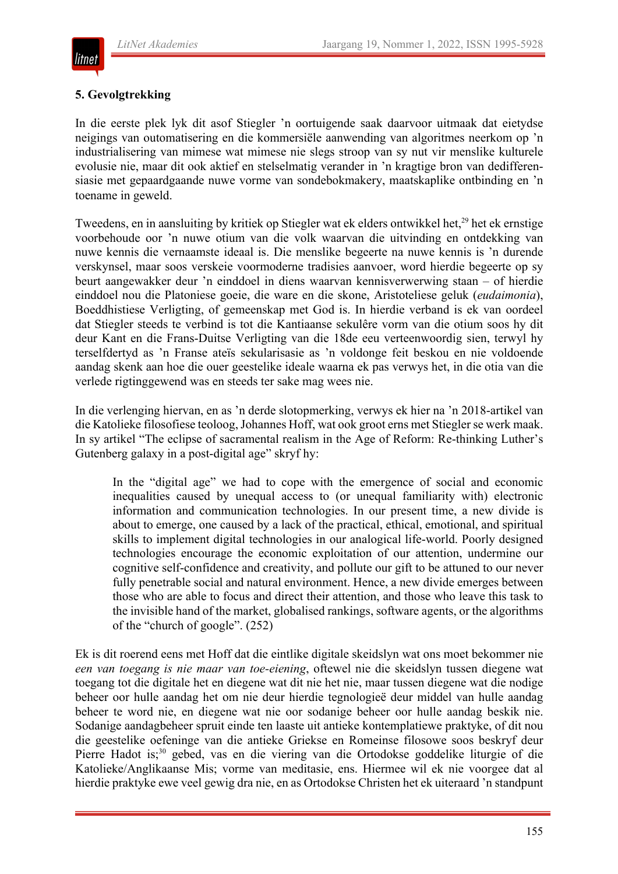

#### **5. Gevolgtrekking**

In die eerste plek lyk dit asof Stiegler 'n oortuigende saak daarvoor uitmaak dat eietydse neigings van outomatisering en die kommersiële aanwending van algoritmes neerkom op 'n industrialisering van mimese wat mimese nie slegs stroop van sy nut vir menslike kulturele evolusie nie, maar dit ook aktief en stelselmatig verander in 'n kragtige bron van dedifferensiasie met gepaardgaande nuwe vorme van sondebokmakery, maatskaplike ontbinding en 'n toename in geweld.

Tweedens, en in aansluiting by kritiek op Stiegler wat ek elders ontwikkel het,<sup>29</sup> het ek ernstige voorbehoude oor 'n nuwe otium van die volk waarvan die uitvinding en ontdekking van nuwe kennis die vernaamste ideaal is. Die menslike begeerte na nuwe kennis is 'n durende verskynsel, maar soos verskeie voormoderne tradisies aanvoer, word hierdie begeerte op sy beurt aangewakker deur 'n einddoel in diens waarvan kennisverwerwing staan – of hierdie einddoel nou die Platoniese goeie, die ware en die skone, Aristoteliese geluk (*eudaimonia*), Boeddhistiese Verligting, of gemeenskap met God is. In hierdie verband is ek van oordeel dat Stiegler steeds te verbind is tot die Kantiaanse sekulêre vorm van die otium soos hy dit deur Kant en die Frans-Duitse Verligting van die 18de eeu verteenwoordig sien, terwyl hy terselfdertyd as 'n Franse ateïs sekularisasie as 'n voldonge feit beskou en nie voldoende aandag skenk aan hoe die ouer geestelike ideale waarna ek pas verwys het, in die otia van die verlede rigtinggewend was en steeds ter sake mag wees nie.

In die verlenging hiervan, en as 'n derde slotopmerking, verwys ek hier na 'n 2018-artikel van die Katolieke filosofiese teoloog, Johannes Hoff, wat ook groot erns met Stiegler se werk maak. In sy artikel "The eclipse of sacramental realism in the Age of Reform: Re-thinking Luther's Gutenberg galaxy in a post-digital age" skryf hy:

In the "digital age" we had to cope with the emergence of social and economic inequalities caused by unequal access to (or unequal familiarity with) electronic information and communication technologies. In our present time, a new divide is about to emerge, one caused by a lack of the practical, ethical, emotional, and spiritual skills to implement digital technologies in our analogical life-world. Poorly designed technologies encourage the economic exploitation of our attention, undermine our cognitive self-confidence and creativity, and pollute our gift to be attuned to our never fully penetrable social and natural environment. Hence, a new divide emerges between those who are able to focus and direct their attention, and those who leave this task to the invisible hand of the market, globalised rankings, software agents, or the algorithms of the "church of google". (252)

Ek is dit roerend eens met Hoff dat die eintlike digitale skeidslyn wat ons moet bekommer nie *een van toegang is nie maar van toe-eiening*, oftewel nie die skeidslyn tussen diegene wat toegang tot die digitale het en diegene wat dit nie het nie, maar tussen diegene wat die nodige beheer oor hulle aandag het om nie deur hierdie tegnologieë deur middel van hulle aandag beheer te word nie, en diegene wat nie oor sodanige beheer oor hulle aandag beskik nie. Sodanige aandagbeheer spruit einde ten laaste uit antieke kontemplatiewe praktyke, of dit nou die geestelike oefeninge van die antieke Griekse en Romeinse filosowe soos beskryf deur Pierre Hadot is;<sup>30</sup> gebed, vas en die viering van die Ortodokse goddelike liturgie of die Katolieke/Anglikaanse Mis; vorme van meditasie, ens. Hiermee wil ek nie voorgee dat al hierdie praktyke ewe veel gewig dra nie, en as Ortodokse Christen het ek uiteraard 'n standpunt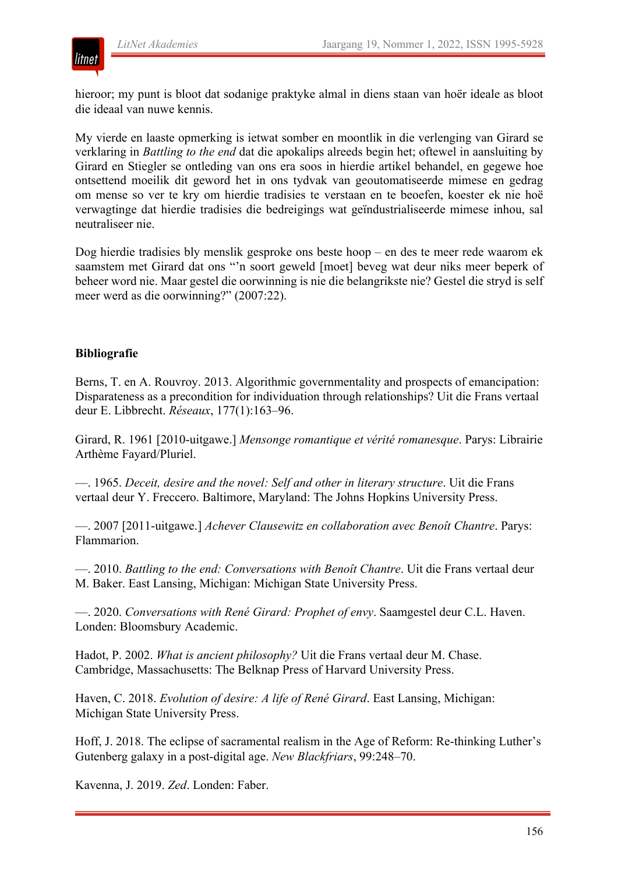

hieroor; my punt is bloot dat sodanige praktyke almal in diens staan van hoër ideale as bloot die ideaal van nuwe kennis.

My vierde en laaste opmerking is ietwat somber en moontlik in die verlenging van Girard se verklaring in *Battling to the end* dat die apokalips alreeds begin het; oftewel in aansluiting by Girard en Stiegler se ontleding van ons era soos in hierdie artikel behandel, en gegewe hoe ontsettend moeilik dit geword het in ons tydvak van geoutomatiseerde mimese en gedrag om mense so ver te kry om hierdie tradisies te verstaan en te beoefen, koester ek nie hoë verwagtinge dat hierdie tradisies die bedreigings wat geïndustrialiseerde mimese inhou, sal neutraliseer nie.

Dog hierdie tradisies bly menslik gesproke ons beste hoop – en des te meer rede waarom ek saamstem met Girard dat ons "'n soort geweld [moet] beveg wat deur niks meer beperk of beheer word nie. Maar gestel die oorwinning is nie die belangrikste nie? Gestel die stryd is self meer werd as die oorwinning?" (2007:22).

#### **Bibliografie**

Berns, T. en A. Rouvroy. 2013. Algorithmic governmentality and prospects of emancipation: Disparateness as a precondition for individuation through relationships? Uit die Frans vertaal deur E. Libbrecht. *Réseaux*, 177(1):163–96.

Girard, R. 1961 [2010-uitgawe.] *Mensonge romantique et vérité romanesque*. Parys: Librairie Arthème Fayard/Pluriel.

—. 1965. *Deceit, desire and the novel: Self and other in literary structure*. Uit die Frans vertaal deur Y. Freccero. Baltimore, Maryland: The Johns Hopkins University Press.

—. 2007 [2011-uitgawe.] *Achever Clausewitz en collaboration avec Benoît Chantre*. Parys: Flammarion.

—. 2010. *Battling to the end: Conversations with Benoît Chantre*. Uit die Frans vertaal deur M. Baker. East Lansing, Michigan: Michigan State University Press.

—. 2020. *Conversations with René Girard: Prophet of envy*. Saamgestel deur C.L. Haven. Londen: Bloomsbury Academic.

Hadot, P. 2002. *What is ancient philosophy?* Uit die Frans vertaal deur M. Chase. Cambridge, Massachusetts: The Belknap Press of Harvard University Press.

Haven, C. 2018. *Evolution of desire: A life of René Girard*. East Lansing, Michigan: Michigan State University Press.

Hoff, J. 2018. The eclipse of sacramental realism in the Age of Reform: Re-thinking Luther's Gutenberg galaxy in a post-digital age. *New Blackfriars*, 99:248–70.

Kavenna, J. 2019. *Zed*. Londen: Faber.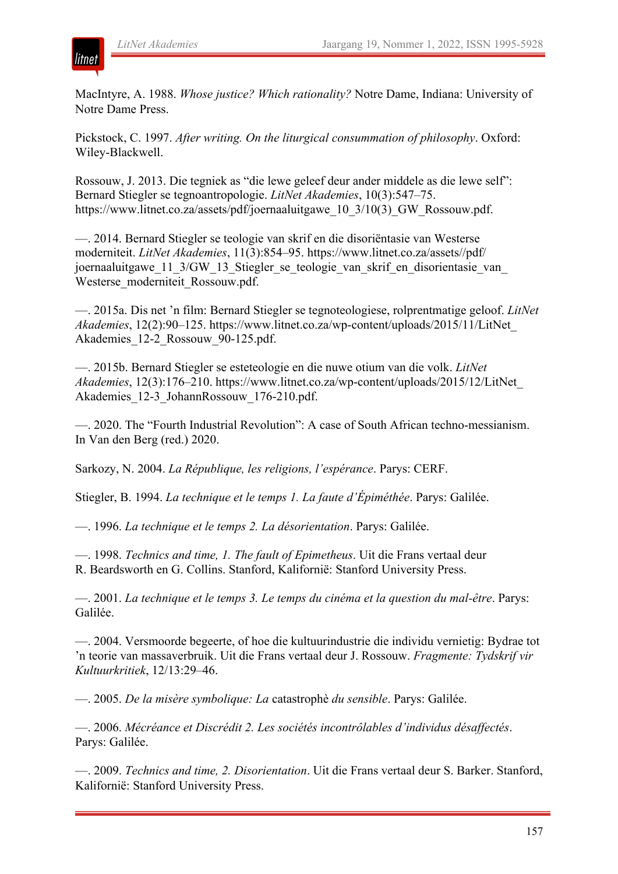

MacIntyre, A. 1988. *Whose justice? Which rationality?* Notre Dame, Indiana: University of Notre Dame Press.

Pickstock, C. 1997. *After writing. On the liturgical consummation of philosophy*. Oxford: Wiley-Blackwell.

Rossouw, J. 2013. Die tegniek as "die lewe geleef deur ander middele as die lewe self": Bernard Stiegler se tegnoantropologie. *LitNet Akademies*, 10(3):547–75. https://www.litnet.co.za/assets/pdf/joernaaluitgawe\_10\_3/10(3)\_GW\_Rossouw.pdf.

—. 2014. Bernard Stiegler se teologie van skrif en die disoriëntasie van Westerse moderniteit. *LitNet Akademies*, 11(3):854–95. https://www.litnet.co.za/assets//pdf/ joernaaluitgawe\_11\_3/GW\_13\_Stiegler\_se\_teologie\_van\_skrif\_en\_disorientasie\_van Westerse\_moderniteit\_Rossouw.pdf.

—. 2015a. Dis net 'n film: Bernard Stiegler se tegnoteologiese, rolprentmatige geloof. *LitNet Akademies*, 12(2):90–125. https://www.litnet.co.za/wp-content/uploads/2015/11/LitNet\_ Akademies\_12-2\_Rossouw\_90-125.pdf.

—. 2015b. Bernard Stiegler se esteteologie en die nuwe otium van die volk. *LitNet Akademies*, 12(3):176–210. https://www.litnet.co.za/wp-content/uploads/2015/12/LitNet\_ Akademies\_12-3\_JohannRossouw\_176-210.pdf.

—. 2020. The "Fourth Industrial Revolution": A case of South African techno-messianism. In Van den Berg (red.) 2020.

Sarkozy, N. 2004. *La République, les religions, l'espérance*. Parys: CERF.

Stiegler, B. 1994. *La technique et le temps 1. La faute d'Épiméthée*. Parys: Galilée.

—. 1996. *La technique et le temps 2. La désorientation*. Parys: Galilée.

—. 1998. *Technics and time, 1. The fault of Epimetheus*. Uit die Frans vertaal deur R. Beardsworth en G. Collins. Stanford, Kalifornië: Stanford University Press.

—. 2001. *La technique et le temps 3. Le temps du cinéma et la question du mal-être*. Parys: Galilée.

—. 2004. Versmoorde begeerte, of hoe die kultuurindustrie die individu vernietig: Bydrae tot 'n teorie van massaverbruik. Uit die Frans vertaal deur J. Rossouw. *Fragmente: Tydskrif vir Kultuurkritiek*, 12/13:29–46.

—. 2005. *De la misère symbolique: La* catastrophè *du sensible*. Parys: Galilée.

—. 2006. *Mécréance et Discrédit 2. Les sociétés incontrôlables d'individus désaffectés*. Parys: Galilée.

—. 2009. *Technics and time, 2. Disorientation*. Uit die Frans vertaal deur S. Barker. Stanford, Kalifornië: Stanford University Press.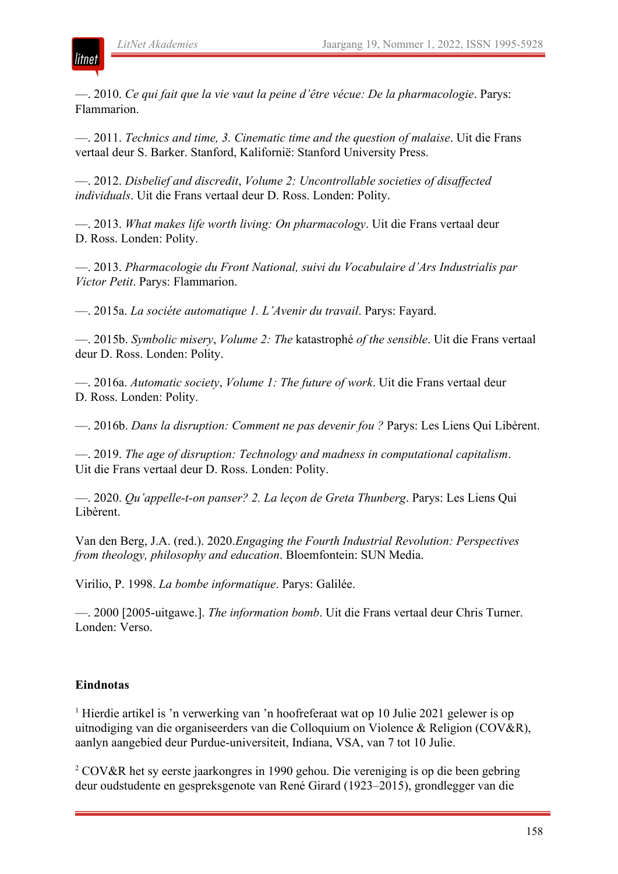litnet

—. 2010. *Ce qui fait que la vie vaut la peine d'être vécue: De la pharmacologie*. Parys: Flammarion.

—. 2011. *Technics and time, 3. Cinematic time and the question of malaise*. Uit die Frans vertaal deur S. Barker. Stanford, Kalifornië: Stanford University Press.

—. 2012. *Disbelief and discredit*, *Volume 2: Uncontrollable societies of disaffected individuals*. Uit die Frans vertaal deur D. Ross. Londen: Polity.

—. 2013. *What makes life worth living: On pharmacology*. Uit die Frans vertaal deur D. Ross. Londen: Polity.

—. 2013. *Pharmacologie du Front National, suivi du Vocabulaire d'Ars Industrialis par Victor Petit*. Parys: Flammarion.

—. 2015a. *La sociéte automatique 1. L'Avenir du travail*. Parys: Fayard.

—. 2015b. *Symbolic misery*, *Volume 2: The* katastrophé *of the sensible*. Uit die Frans vertaal deur D. Ross. Londen: Polity.

—. 2016a. *Automatic society*, *Volume 1: The future of work*. Uit die Frans vertaal deur D. Ross. Londen: Polity.

—. 2016b. *Dans la disruption: Comment ne pas devenir fou ?* Parys: Les Liens Qui Libèrent.

—. 2019. *The age of disruption: Technology and madness in computational capitalism*. Uit die Frans vertaal deur D. Ross. Londen: Polity.

—. 2020. *Qu'appelle-t-on panser? 2. La leçon de Greta Thunberg*. Parys: Les Liens Qui Libèrent.

Van den Berg, J.A. (red.). 2020.*Engaging the Fourth Industrial Revolution: Perspectives from theology, philosophy and education*. Bloemfontein: SUN Media.

Virilio, P. 1998. *La bombe informatique*. Parys: Galilée.

—. 2000 [2005-uitgawe.]. *The information bomb*. Uit die Frans vertaal deur Chris Turner. Londen: Verso.

#### **Eindnotas**

<sup>1</sup> Hierdie artikel is 'n verwerking van 'n hoofreferaat wat op 10 Julie 2021 gelewer is op uitnodiging van die organiseerders van die Colloquium on Violence & Religion (COV&R), aanlyn aangebied deur Purdue-universiteit, Indiana, VSA, van 7 tot 10 Julie.

<sup>2</sup> COV&R het sy eerste jaarkongres in 1990 gehou. Die vereniging is op die been gebring deur oudstudente en gespreksgenote van René Girard (1923–2015), grondlegger van die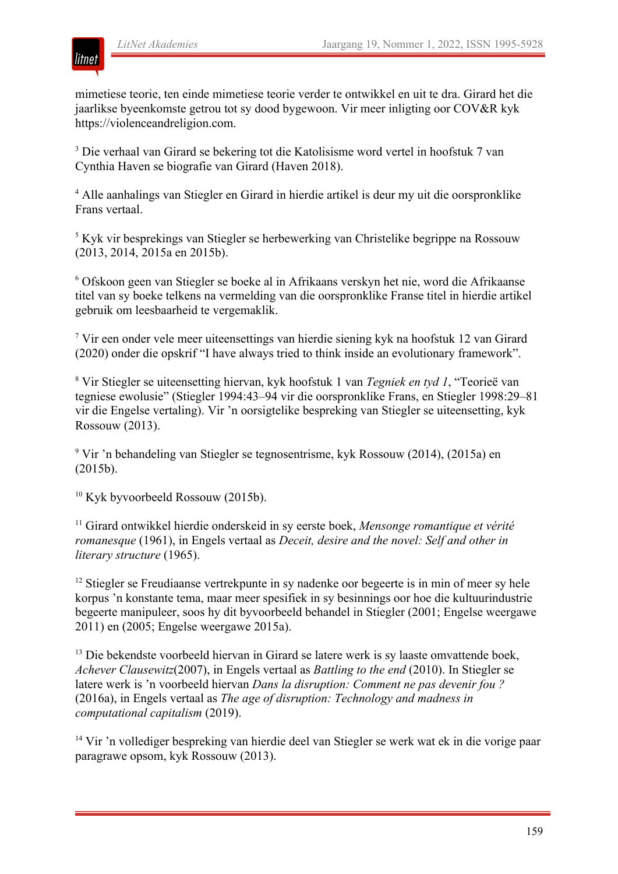

mimetiese teorie, ten einde mimetiese teorie verder te ontwikkel en uit te dra. Girard het die jaarlikse byeenkomste getrou tot sy dood bygewoon. Vir meer inligting oor COV&R kyk https://violenceandreligion.com.

<sup>3</sup> Die verhaal van Girard se bekering tot die Katolisisme word vertel in hoofstuk 7 van Cynthia Haven se biografie van Girard (Haven 2018).

<sup>4</sup> Alle aanhalings van Stiegler en Girard in hierdie artikel is deur my uit die oorspronklike Frans vertaal.

<sup>5</sup> Kyk vir besprekings van Stiegler se herbewerking van Christelike begrippe na Rossouw (2013, 2014, 2015a en 2015b).

<sup>6</sup> Ofskoon geen van Stiegler se boeke al in Afrikaans verskyn het nie, word die Afrikaanse titel van sy boeke telkens na vermelding van die oorspronklike Franse titel in hierdie artikel gebruik om leesbaarheid te vergemaklik.

<sup>7</sup> Vir een onder vele meer uiteensettings van hierdie siening kyk na hoofstuk 12 van Girard (2020) onder die opskrif "I have always tried to think inside an evolutionary framework".

<sup>8</sup> Vir Stiegler se uiteensetting hiervan, kyk hoofstuk 1 van *Tegniek en tyd 1*, "Teorieë van tegniese ewolusie" (Stiegler 1994:43–94 vir die oorspronklike Frans, en Stiegler 1998:29–81 vir die Engelse vertaling). Vir 'n oorsigtelike bespreking van Stiegler se uiteensetting, kyk Rossouw (2013).

<sup>9</sup> Vir 'n behandeling van Stiegler se tegnosentrisme, kyk Rossouw (2014), (2015a) en (2015b).

<sup>10</sup> Kyk byvoorbeeld Rossouw (2015b).

<sup>11</sup> Girard ontwikkel hierdie onderskeid in sy eerste boek, *Mensonge romantique et vérité romanesque* (1961), in Engels vertaal as *Deceit, desire and the novel: Self and other in literary structure* (1965).

<sup>12</sup> Stiegler se Freudiaanse vertrekpunte in sy nadenke oor begeerte is in min of meer sy hele korpus 'n konstante tema, maar meer spesifiek in sy besinnings oor hoe die kultuurindustrie begeerte manipuleer, soos hy dit byvoorbeeld behandel in Stiegler (2001; Engelse weergawe 2011) en (2005; Engelse weergawe 2015a).

<sup>13</sup> Die bekendste voorbeeld hiervan in Girard se latere werk is sy laaste omvattende boek, *Achever Clausewitz*(2007), in Engels vertaal as *Battling to the end* (2010). In Stiegler se latere werk is 'n voorbeeld hiervan *Dans la disruption: Comment ne pas devenir fou ?* (2016a), in Engels vertaal as *The age of disruption: Technology and madness in computational capitalism* (2019).

<sup>14</sup> Vir 'n vollediger bespreking van hierdie deel van Stiegler se werk wat ek in die vorige paar paragrawe opsom, kyk Rossouw (2013).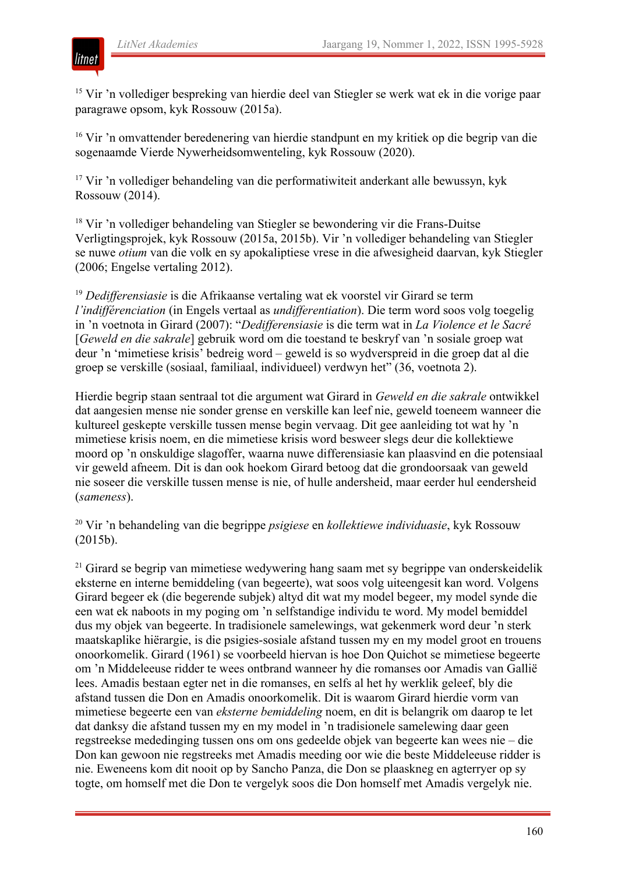

<sup>15</sup> Vir 'n vollediger bespreking van hierdie deel van Stiegler se werk wat ek in die vorige paar paragrawe opsom, kyk Rossouw (2015a).

<sup>16</sup> Vir 'n omvattender beredenering van hierdie standpunt en my kritiek op die begrip van die sogenaamde Vierde Nywerheidsomwenteling, kyk Rossouw (2020).

<sup>17</sup> Vir 'n vollediger behandeling van die performatiwiteit anderkant alle bewussyn, kyk Rossouw (2014).

<sup>18</sup> Vir 'n vollediger behandeling van Stiegler se bewondering vir die Frans-Duitse Verligtingsprojek, kyk Rossouw (2015a, 2015b). Vir 'n vollediger behandeling van Stiegler se nuwe *otium* van die volk en sy apokaliptiese vrese in die afwesigheid daarvan, kyk Stiegler (2006; Engelse vertaling 2012).

<sup>19</sup> Dedifferensiasie is die Afrikaanse vertaling wat ek voorstel vir Girard se term *l'indifférenciation* (in Engels vertaal as *undifferentiation*). Die term word soos volg toegelig in 'n voetnota in Girard (2007): "*Dedifferensiasie* is die term wat in *La Violence et le Sacré* [*Geweld en die sakrale*] gebruik word om die toestand te beskryf van 'n sosiale groep wat deur 'n 'mimetiese krisis' bedreig word – geweld is so wydverspreid in die groep dat al die groep se verskille (sosiaal, familiaal, individueel) verdwyn het" (36, voetnota 2).

Hierdie begrip staan sentraal tot die argument wat Girard in *Geweld en die sakrale* ontwikkel dat aangesien mense nie sonder grense en verskille kan leef nie, geweld toeneem wanneer die kultureel geskepte verskille tussen mense begin vervaag. Dit gee aanleiding tot wat hy 'n mimetiese krisis noem, en die mimetiese krisis word besweer slegs deur die kollektiewe moord op 'n onskuldige slagoffer, waarna nuwe differensiasie kan plaasvind en die potensiaal vir geweld afneem. Dit is dan ook hoekom Girard betoog dat die grondoorsaak van geweld nie soseer die verskille tussen mense is nie, of hulle andersheid, maar eerder hul eendersheid (*sameness*).

<sup>20</sup> Vir 'n behandeling van die begrippe *psigiese* en *kollektiewe individuasie*, kyk Rossouw (2015b).

<sup>21</sup> Girard se begrip van mimetiese wedywering hang saam met sy begrippe van onderskeidelik eksterne en interne bemiddeling (van begeerte), wat soos volg uiteengesit kan word. Volgens Girard begeer ek (die begerende subjek) altyd dit wat my model begeer, my model synde die een wat ek naboots in my poging om 'n selfstandige individu te word. My model bemiddel dus my objek van begeerte. In tradisionele samelewings, wat gekenmerk word deur 'n sterk maatskaplike hiërargie, is die psigies-sosiale afstand tussen my en my model groot en trouens onoorkomelik. Girard (1961) se voorbeeld hiervan is hoe Don Quichot se mimetiese begeerte om 'n Middeleeuse ridder te wees ontbrand wanneer hy die romanses oor Amadis van Gallië lees. Amadis bestaan egter net in die romanses, en selfs al het hy werklik geleef, bly die afstand tussen die Don en Amadis onoorkomelik. Dit is waarom Girard hierdie vorm van mimetiese begeerte een van *eksterne bemiddeling* noem, en dit is belangrik om daarop te let dat danksy die afstand tussen my en my model in 'n tradisionele samelewing daar geen regstreekse mededinging tussen ons om ons gedeelde objek van begeerte kan wees nie – die Don kan gewoon nie regstreeks met Amadis meeding oor wie die beste Middeleeuse ridder is nie. Eweneens kom dit nooit op by Sancho Panza, die Don se plaaskneg en agterryer op sy togte, om homself met die Don te vergelyk soos die Don homself met Amadis vergelyk nie.